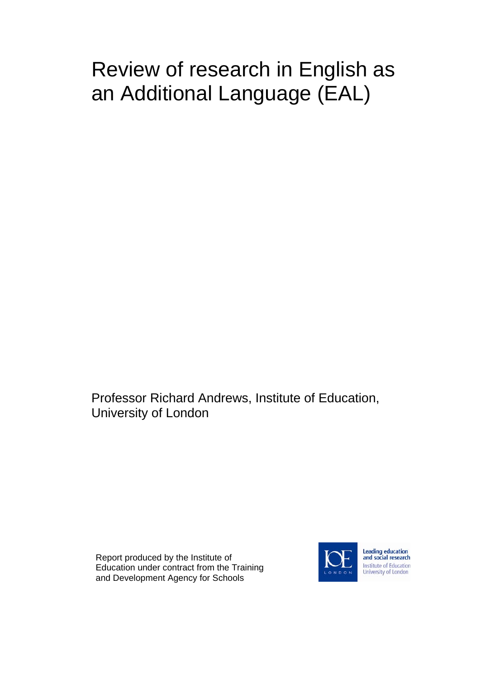# Review of research in English as an Additional Language (EAL)

Professor Richard Andrews, Institute of Education, University of London

Report produced by the Institute of Education under contract from the Training and Development Agency for Schools



Leading education<br>and social research **Institute of Education** University of London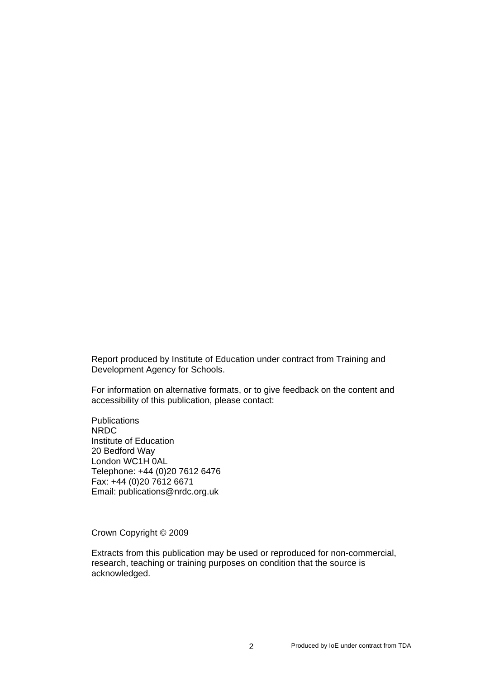Report produced by Institute of Education under contract from Training and Development Agency for Schools.

For information on alternative formats, or to give feedback on the content and accessibility of this publication, please contact:

**Publications** NRDC Institute of Education 20 Bedford Way London WC1H 0AL Telephone: +44 (0)20 7612 6476 Fax: +44 (0)20 7612 6671 Email: publications@nrdc.org.uk

Crown Copyright © 2009

Extracts from this publication may be used or reproduced for non-commercial, research, teaching or training purposes on condition that the source is acknowledged.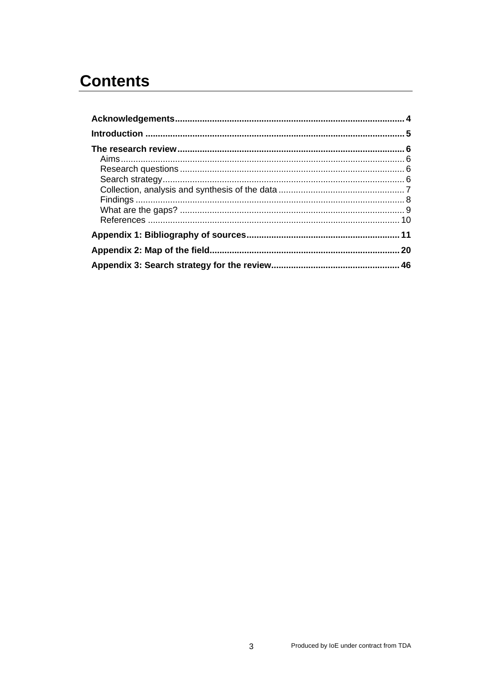# **Contents**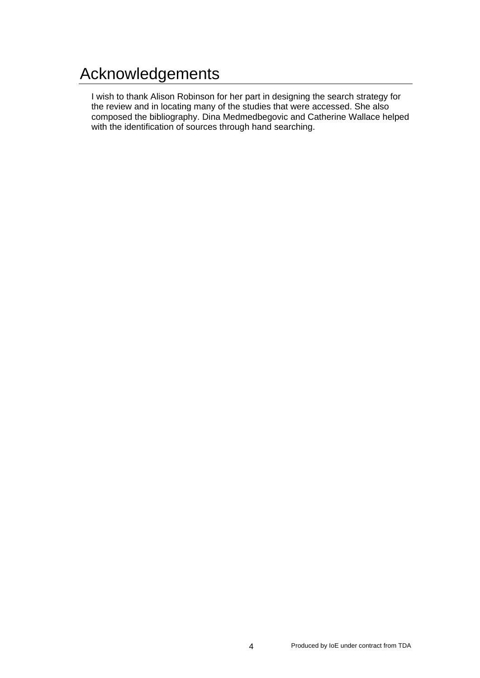# Acknowledgements

I wish to thank Alison Robinson for her part in designing the search strategy for the review and in locating many of the studies that were accessed. She also composed the bibliography. Dina Medmedbegovic and Catherine Wallace helped with the identification of sources through hand searching.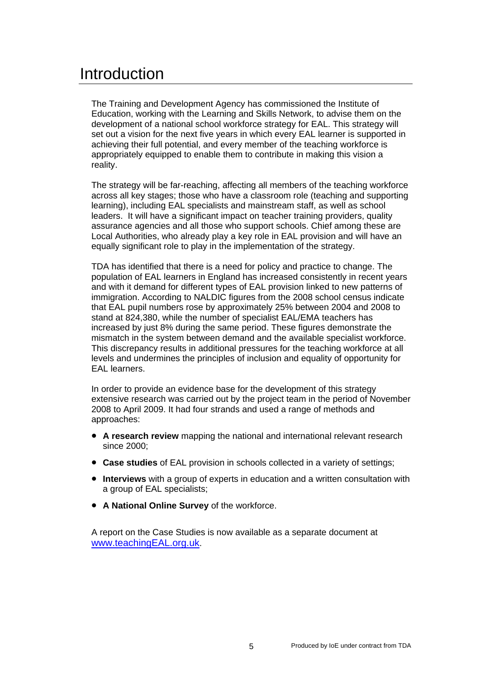# Introduction

The Training and Development Agency has commissioned the Institute of Education, working with the Learning and Skills Network, to advise them on the development of a national school workforce strategy for EAL. This strategy will set out a vision for the next five years in which every EAL learner is supported in achieving their full potential, and every member of the teaching workforce is appropriately equipped to enable them to contribute in making this vision a reality.

The strategy will be far-reaching, affecting all members of the teaching workforce across all key stages; those who have a classroom role (teaching and supporting learning), including EAL specialists and mainstream staff, as well as school leaders. It will have a significant impact on teacher training providers, quality assurance agencies and all those who support schools. Chief among these are Local Authorities, who already play a key role in EAL provision and will have an equally significant role to play in the implementation of the strategy.

TDA has identified that there is a need for policy and practice to change. The population of EAL learners in England has increased consistently in recent years and with it demand for different types of EAL provision linked to new patterns of immigration. According to NALDIC figures from the 2008 school census indicate that EAL pupil numbers rose by approximately 25% between 2004 and 2008 to stand at 824,380, while the number of specialist EAL/EMA teachers has increased by just 8% during the same period. These figures demonstrate the mismatch in the system between demand and the available specialist workforce. This discrepancy results in additional pressures for the teaching workforce at all levels and undermines the principles of inclusion and equality of opportunity for EAL learners.

In order to provide an evidence base for the development of this strategy extensive research was carried out by the project team in the period of November 2008 to April 2009. It had four strands and used a range of methods and approaches:

- **A research review** mapping the national and international relevant research since 2000:
- **Case studies** of EAL provision in schools collected in a variety of settings;
- **Interviews** with a group of experts in education and a written consultation with a group of EAL specialists;
- **A National Online Survey** of the workforce.

A report on the Case Studies is now available as a separate document at www.teachingEAL.org.uk.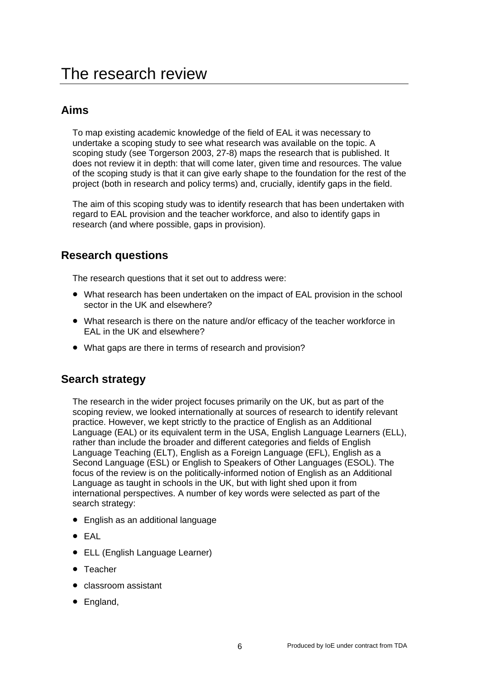# **Aims**

To map existing academic knowledge of the field of EAL it was necessary to undertake a scoping study to see what research was available on the topic. A scoping study (see Torgerson 2003, 27-8) maps the research that is published. It does not review it in depth: that will come later, given time and resources. The value of the scoping study is that it can give early shape to the foundation for the rest of the project (both in research and policy terms) and, crucially, identify gaps in the field.

The aim of this scoping study was to identify research that has been undertaken with regard to EAL provision and the teacher workforce, and also to identify gaps in research (and where possible, gaps in provision).

# **Research questions**

The research questions that it set out to address were:

- What research has been undertaken on the impact of EAL provision in the school sector in the UK and elsewhere?
- What research is there on the nature and/or efficacy of the teacher workforce in EAL in the UK and elsewhere?
- What gaps are there in terms of research and provision?

### **Search strategy**

The research in the wider project focuses primarily on the UK, but as part of the scoping review, we looked internationally at sources of research to identify relevant practice. However, we kept strictly to the practice of English as an Additional Language (EAL) or its equivalent term in the USA, English Language Learners (ELL), rather than include the broader and different categories and fields of English Language Teaching (ELT), English as a Foreign Language (EFL), English as a Second Language (ESL) or English to Speakers of Other Languages (ESOL). The focus of the review is on the politically-informed notion of English as an Additional Language as taught in schools in the UK, but with light shed upon it from international perspectives. A number of key words were selected as part of the search strategy:

- English as an additional language
- EAL
- ELL (English Language Learner)
- Teacher
- classroom assistant
- England,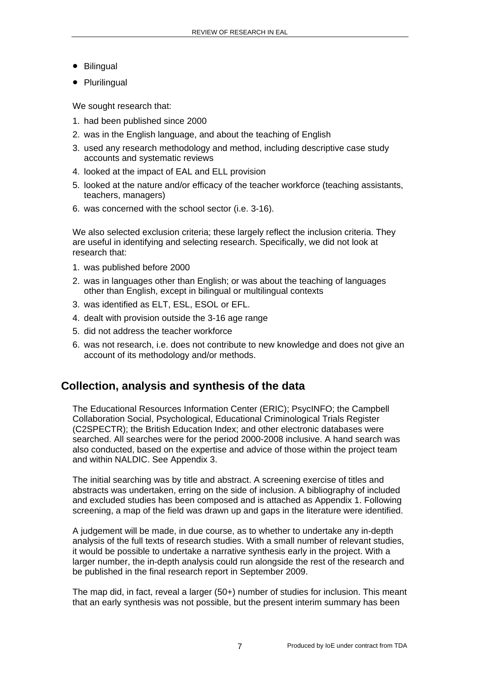- Bilingual
- Plurilingual

We sought research that:

- 1. had been published since 2000
- 2. was in the English language, and about the teaching of English
- 3. used any research methodology and method, including descriptive case study accounts and systematic reviews
- 4. looked at the impact of EAL and ELL provision
- 5. looked at the nature and/or efficacy of the teacher workforce (teaching assistants, teachers, managers)
- 6. was concerned with the school sector (i.e. 3-16).

We also selected exclusion criteria; these largely reflect the inclusion criteria. They are useful in identifying and selecting research. Specifically, we did not look at research that:

- 1. was published before 2000
- 2. was in languages other than English; or was about the teaching of languages other than English, except in bilingual or multilingual contexts
- 3. was identified as ELT, ESL, ESOL or EFL.
- 4. dealt with provision outside the 3-16 age range
- 5. did not address the teacher workforce
- 6. was not research, i.e. does not contribute to new knowledge and does not give an account of its methodology and/or methods.

# **Collection, analysis and synthesis of the data**

The Educational Resources Information Center (ERIC); PsycINFO; the Campbell Collaboration Social, Psychological, Educational Criminological Trials Register (C2SPECTR); the British Education Index; and other electronic databases were searched. All searches were for the period 2000-2008 inclusive. A hand search was also conducted, based on the expertise and advice of those within the project team and within NALDIC. See Appendix 3.

The initial searching was by title and abstract. A screening exercise of titles and abstracts was undertaken, erring on the side of inclusion. A bibliography of included and excluded studies has been composed and is attached as Appendix 1. Following screening, a map of the field was drawn up and gaps in the literature were identified.

A judgement will be made, in due course, as to whether to undertake any in-depth analysis of the full texts of research studies. With a small number of relevant studies, it would be possible to undertake a narrative synthesis early in the project. With a larger number, the in-depth analysis could run alongside the rest of the research and be published in the final research report in September 2009.

The map did, in fact, reveal a larger (50+) number of studies for inclusion. This meant that an early synthesis was not possible, but the present interim summary has been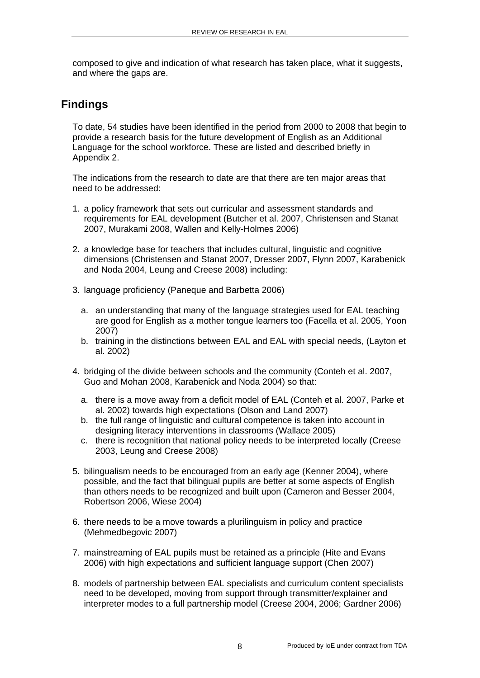composed to give and indication of what research has taken place, what it suggests, and where the gaps are.

# **Findings**

To date, 54 studies have been identified in the period from 2000 to 2008 that begin to provide a research basis for the future development of English as an Additional Language for the school workforce. These are listed and described briefly in Appendix 2.

The indications from the research to date are that there are ten major areas that need to be addressed:

- 1. a policy framework that sets out curricular and assessment standards and requirements for EAL development (Butcher et al. 2007, Christensen and Stanat 2007, Murakami 2008, Wallen and Kelly-Holmes 2006)
- 2. a knowledge base for teachers that includes cultural, linguistic and cognitive dimensions (Christensen and Stanat 2007, Dresser 2007, Flynn 2007, Karabenick and Noda 2004, Leung and Creese 2008) including:
- 3. language proficiency (Paneque and Barbetta 2006)
	- a. an understanding that many of the language strategies used for EAL teaching are good for English as a mother tongue learners too (Facella et al. 2005, Yoon 2007)
	- b. training in the distinctions between EAL and EAL with special needs, (Layton et al. 2002)
- 4. bridging of the divide between schools and the community (Conteh et al. 2007, Guo and Mohan 2008, Karabenick and Noda 2004) so that:
	- a. there is a move away from a deficit model of EAL (Conteh et al. 2007, Parke et al. 2002) towards high expectations (Olson and Land 2007)
	- b. the full range of linguistic and cultural competence is taken into account in designing literacy interventions in classrooms (Wallace 2005)
	- c. there is recognition that national policy needs to be interpreted locally (Creese 2003, Leung and Creese 2008)
- 5. bilingualism needs to be encouraged from an early age (Kenner 2004), where possible, and the fact that bilingual pupils are better at some aspects of English than others needs to be recognized and built upon (Cameron and Besser 2004, Robertson 2006, Wiese 2004)
- 6. there needs to be a move towards a plurilinguism in policy and practice (Mehmedbegovic 2007)
- 7. mainstreaming of EAL pupils must be retained as a principle (Hite and Evans 2006) with high expectations and sufficient language support (Chen 2007)
- 8. models of partnership between EAL specialists and curriculum content specialists need to be developed, moving from support through transmitter/explainer and interpreter modes to a full partnership model (Creese 2004, 2006; Gardner 2006)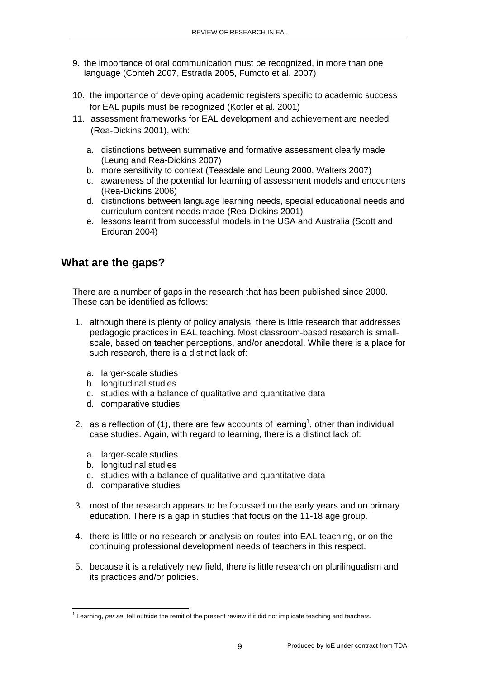- 9. the importance of oral communication must be recognized, in more than one language (Conteh 2007, Estrada 2005, Fumoto et al. 2007)
- 10. the importance of developing academic registers specific to academic success for EAL pupils must be recognized (Kotler et al. 2001)
- 11. assessment frameworks for EAL development and achievement are needed (Rea-Dickins 2001), with:
	- a. distinctions between summative and formative assessment clearly made (Leung and Rea-Dickins 2007)
	- b. more sensitivity to context (Teasdale and Leung 2000, Walters 2007)
	- c. awareness of the potential for learning of assessment models and encounters (Rea-Dickins 2006)
	- d. distinctions between language learning needs, special educational needs and curriculum content needs made (Rea-Dickins 2001)
	- e. lessons learnt from successful models in the USA and Australia (Scott and Erduran 2004)

# **What are the gaps?**

There are a number of gaps in the research that has been published since 2000. These can be identified as follows:

- 1. although there is plenty of policy analysis, there is little research that addresses pedagogic practices in EAL teaching. Most classroom-based research is smallscale, based on teacher perceptions, and/or anecdotal. While there is a place for such research, there is a distinct lack of:
	- a. larger-scale studies
	- b. longitudinal studies
	- c. studies with a balance of qualitative and quantitative data
	- d. comparative studies
- 2. as a reflection of (1), there are few accounts of learning<sup>1</sup>, other than individual case studies. Again, with regard to learning, there is a distinct lack of:
	- a. larger-scale studies
	- b. longitudinal studies
	- c. studies with a balance of qualitative and quantitative data
	- d. comparative studies
- 3. most of the research appears to be focussed on the early years and on primary education. There is a gap in studies that focus on the 11-18 age group.
- 4. there is little or no research or analysis on routes into EAL teaching, or on the continuing professional development needs of teachers in this respect.
- 5. because it is a relatively new field, there is little research on plurilingualism and its practices and/or policies.

<sup>-</sup><sup>1</sup> Learning, *per se*, fell outside the remit of the present review if it did not implicate teaching and teachers.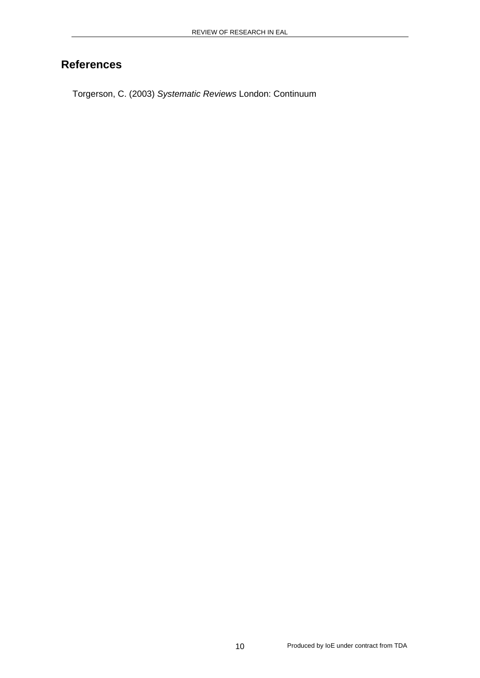# **References**

Torgerson, C. (2003) *Systematic Reviews* London: Continuum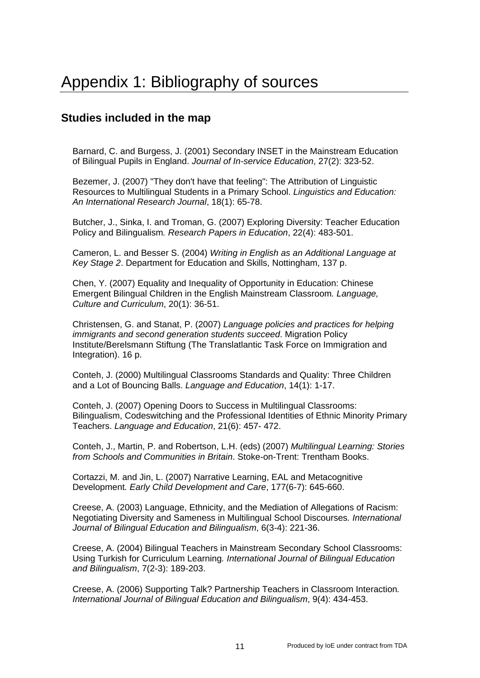### **Studies included in the map**

Barnard, C. and Burgess, J. (2001) Secondary INSET in the Mainstream Education of Bilingual Pupils in England. *Journal of In-service Education*, 27(2): 323-52.

Bezemer, J. (2007) "They don't have that feeling": The Attribution of Linguistic Resources to Multilingual Students in a Primary School. *Linguistics and Education: An International Research Journal*, 18(1): 65-78.

Butcher, J., Sinka, I. and Troman, G. (2007) Exploring Diversity: Teacher Education Policy and Bilingualism*. Research Papers in Education*, 22(4): 483-501.

Cameron, L. and Besser S. (2004) *Writing in English as an Additional Language at Key Stage 2*. Department for Education and Skills, Nottingham, 137 p.

Chen, Y. (2007) Equality and Inequality of Opportunity in Education: Chinese Emergent Bilingual Children in the English Mainstream Classroom*. Language, Culture and Curriculum*, 20(1): 36-51.

Christensen, G. and Stanat, P. (2007) *Language policies and practices for helping immigrants and second generation students succeed*. Migration Policy Institute/Berelsmann Stiftung (The Translatlantic Task Force on Immigration and Integration). 16 p.

Conteh, J. (2000) Multilingual Classrooms Standards and Quality: Three Children and a Lot of Bouncing Balls. *Language and Education*, 14(1): 1-17.

Conteh, J. (2007) Opening Doors to Success in Multilingual Classrooms: Bilingualism, Codeswitching and the Professional Identities of Ethnic Minority Primary Teachers. *Language and Education*, 21(6): 457- 472.

Conteh, J., Martin, P. and Robertson, L.H. (eds) (2007) *Multilingual Learning: Stories from Schools and Communities in Britain*. Stoke-on-Trent: Trentham Books.

Cortazzi, M. and Jin, L. (2007) Narrative Learning, EAL and Metacognitive Development*. Early Child Development and Care*, 177(6-7): 645-660.

Creese, A. (2003) Language, Ethnicity, and the Mediation of Allegations of Racism: Negotiating Diversity and Sameness in Multilingual School Discourses*. International Journal of Bilingual Education and Bilingualism*, 6(3-4): 221-36.

Creese, A. (2004) Bilingual Teachers in Mainstream Secondary School Classrooms: Using Turkish for Curriculum Learning*. International Journal of Bilingual Education and Bilingualism*, 7(2-3): 189-203.

Creese, A. (2006) Supporting Talk? Partnership Teachers in Classroom Interaction*. International Journal of Bilingual Education and Bilingualism*, 9(4): 434-453.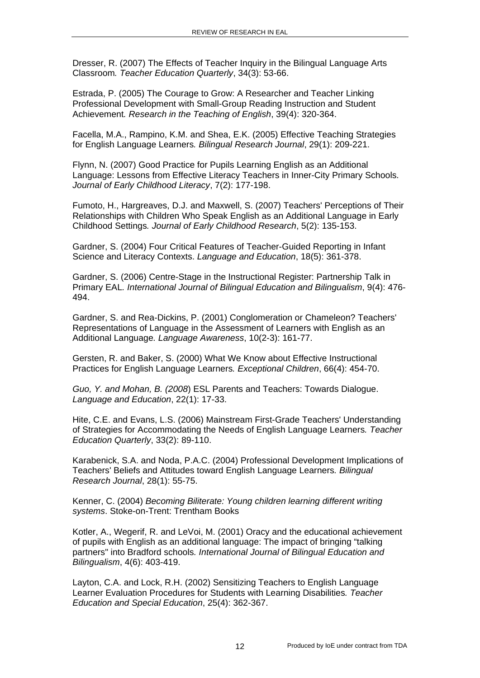Dresser, R. (2007) The Effects of Teacher Inquiry in the Bilingual Language Arts Classroom*. Teacher Education Quarterly*, 34(3): 53-66.

Estrada, P. (2005) The Courage to Grow: A Researcher and Teacher Linking Professional Development with Small-Group Reading Instruction and Student Achievement*. Research in the Teaching of English*, 39(4): 320-364.

Facella, M.A., Rampino, K.M. and Shea, E.K. (2005) Effective Teaching Strategies for English Language Learners*. Bilingual Research Journal*, 29(1): 209-221.

Flynn, N. (2007) Good Practice for Pupils Learning English as an Additional Language: Lessons from Effective Literacy Teachers in Inner-City Primary Schools*. Journal of Early Childhood Literacy*, 7(2): 177-198.

Fumoto, H., Hargreaves, D.J. and Maxwell, S. (2007) Teachers' Perceptions of Their Relationships with Children Who Speak English as an Additional Language in Early Childhood Settings*. Journal of Early Childhood Research*, 5(2): 135-153.

Gardner, S. (2004) Four Critical Features of Teacher-Guided Reporting in Infant Science and Literacy Contexts. *Language and Education*, 18(5): 361-378.

Gardner, S. (2006) Centre-Stage in the Instructional Register: Partnership Talk in Primary EAL*. International Journal of Bilingual Education and Bilingualism*, 9(4): 476- 494.

Gardner, S. and Rea-Dickins, P. (2001) Conglomeration or Chameleon? Teachers' Representations of Language in the Assessment of Learners with English as an Additional Language*. Language Awareness*, 10(2-3): 161-77.

Gersten, R. and Baker, S. (2000) What We Know about Effective Instructional Practices for English Language Learners*. Exceptional Children*, 66(4): 454-70.

*Guo, Y. and Mohan, B. (2008*) ESL Parents and Teachers: Towards Dialogue. *Language and Education*, 22(1): 17-33.

Hite, C.E. and Evans, L.S. (2006) Mainstream First-Grade Teachers' Understanding of Strategies for Accommodating the Needs of English Language Learners*. Teacher Education Quarterly*, 33(2): 89-110.

Karabenick, S.A. and Noda, P.A.C. (2004) Professional Development Implications of Teachers' Beliefs and Attitudes toward English Language Learners*. Bilingual Research Journal*, 28(1): 55-75.

Kenner, C. (2004) *Becoming Biliterate: Young children learning different writing systems*. Stoke-on-Trent: Trentham Books

Kotler, A., Wegerif, R. and LeVoi, M. (2001) Oracy and the educational achievement of pupils with English as an additional language: The impact of bringing "talking partners" into Bradford schools*. International Journal of Bilingual Education and Bilingualism*, 4(6): 403-419.

Layton, C.A. and Lock, R.H. (2002) Sensitizing Teachers to English Language Learner Evaluation Procedures for Students with Learning Disabilities*. Teacher Education and Special Education*, 25(4): 362-367.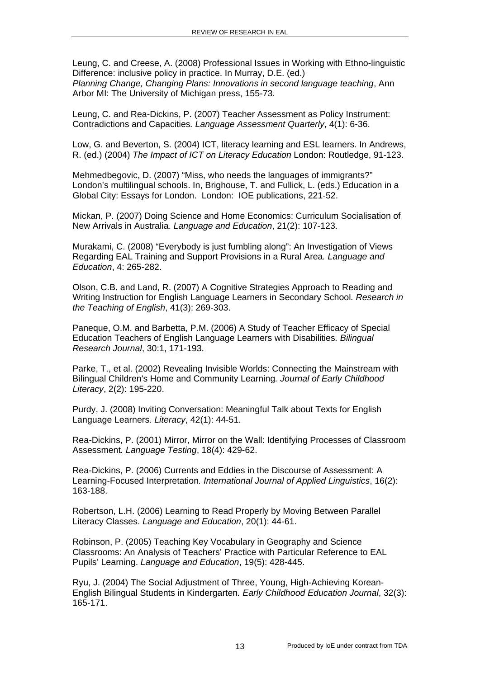Leung, C. and Creese, A. (2008) Professional Issues in Working with Ethno-linguistic Difference: inclusive policy in practice. In Murray, D.E. (ed.) *Planning Change, Changing Plans: Innovations in second language teaching*, Ann Arbor MI: The University of Michigan press, 155-73.

Leung, C. and Rea-Dickins, P. (2007) Teacher Assessment as Policy Instrument: Contradictions and Capacities*. Language Assessment Quarterly*, 4(1): 6-36.

Low, G. and Beverton, S. (2004) ICT, literacy learning and ESL learners. In Andrews, R. (ed.) (2004) *The Impact of ICT on Literacy Education* London: Routledge, 91-123.

Mehmedbegovic, D. (2007) "Miss, who needs the languages of immigrants?" London's multilingual schools. In, Brighouse, T. and Fullick, L. (eds.) Education in a Global City: Essays for London. London: IOE publications, 221-52.

Mickan, P. (2007) Doing Science and Home Economics: Curriculum Socialisation of New Arrivals in Australia. *Language and Education*, 21(2): 107-123.

Murakami, C. (2008) "Everybody is just fumbling along": An Investigation of Views Regarding EAL Training and Support Provisions in a Rural Area*. Language and Education*, 4: 265-282.

Olson, C.B. and Land, R. (2007) A Cognitive Strategies Approach to Reading and Writing Instruction for English Language Learners in Secondary School*. Research in the Teaching of English*, 41(3): 269-303.

Paneque, O.M. and Barbetta, P.M. (2006) A Study of Teacher Efficacy of Special Education Teachers of English Language Learners with Disabilities*. Bilingual Research Journal*, 30:1, 171-193.

Parke, T., et al. (2002) Revealing Invisible Worlds: Connecting the Mainstream with Bilingual Children's Home and Community Learning*. Journal of Early Childhood Literacy*, 2(2): 195-220.

Purdy, J. (2008) Inviting Conversation: Meaningful Talk about Texts for English Language Learners*. Literacy*, 42(1): 44-51.

Rea-Dickins, P. (2001) Mirror, Mirror on the Wall: Identifying Processes of Classroom Assessment*. Language Testing*, 18(4): 429-62.

Rea-Dickins, P. (2006) Currents and Eddies in the Discourse of Assessment: A Learning-Focused Interpretation*. International Journal of Applied Linguistics*, 16(2): 163-188.

Robertson, L.H. (2006) Learning to Read Properly by Moving Between Parallel Literacy Classes. *Language and Education*, 20(1): 44-61.

Robinson, P. (2005) Teaching Key Vocabulary in Geography and Science Classrooms: An Analysis of Teachers' Practice with Particular Reference to EAL Pupils' Learning. *Language and Education*, 19(5): 428-445.

Ryu, J. (2004) The Social Adjustment of Three, Young, High-Achieving Korean-English Bilingual Students in Kindergarten*. Early Childhood Education Journal*, 32(3): 165-171.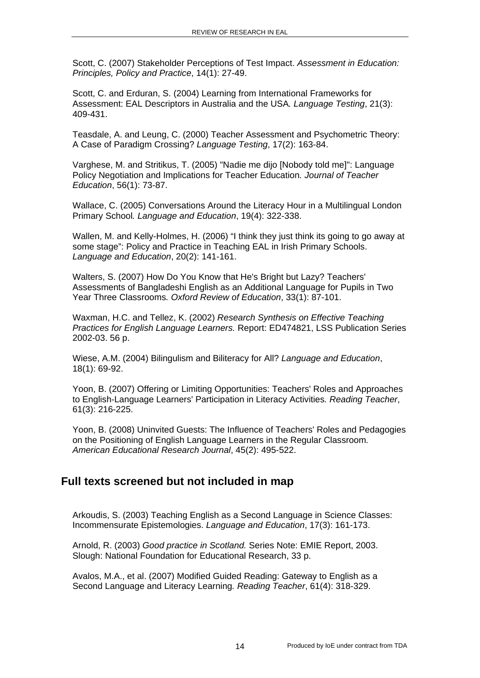Scott, C. (2007) Stakeholder Perceptions of Test Impact. *Assessment in Education: Principles, Policy and Practice*, 14(1): 27-49.

Scott, C. and Erduran, S. (2004) Learning from International Frameworks for Assessment: EAL Descriptors in Australia and the USA*. Language Testing*, 21(3): 409-431.

Teasdale, A. and Leung, C. (2000) Teacher Assessment and Psychometric Theory: A Case of Paradigm Crossing? *Language Testing*, 17(2): 163-84.

Varghese, M. and Stritikus, T. (2005) "Nadie me dijo [Nobody told me]": Language Policy Negotiation and Implications for Teacher Education*. Journal of Teacher Education*, 56(1): 73-87.

Wallace, C. (2005) Conversations Around the Literacy Hour in a Multilingual London Primary School*. Language and Education*, 19(4): 322-338.

Wallen, M. and Kelly-Holmes, H. (2006) "I think they just think its going to go away at some stage": Policy and Practice in Teaching EAL in Irish Primary Schools. *Language and Education*, 20(2): 141-161.

Walters, S. (2007) How Do You Know that He's Bright but Lazy? Teachers' Assessments of Bangladeshi English as an Additional Language for Pupils in Two Year Three Classrooms*. Oxford Review of Education*, 33(1): 87-101.

Waxman, H.C. and Tellez, K. (2002) *Research Synthesis on Effective Teaching Practices for English Language Learners.* Report: ED474821, LSS Publication Series 2002-03. 56 p.

Wiese, A.M. (2004) Bilingulism and Biliteracy for All? *Language and Education*, 18(1): 69-92.

Yoon, B. (2007) Offering or Limiting Opportunities: Teachers' Roles and Approaches to English-Language Learners' Participation in Literacy Activities*. Reading Teacher*, 61(3): 216-225.

Yoon, B. (2008) Uninvited Guests: The Influence of Teachers' Roles and Pedagogies on the Positioning of English Language Learners in the Regular Classroom*. American Educational Research Journal*, 45(2): 495-522.

#### **Full texts screened but not included in map**

Arkoudis, S. (2003) Teaching English as a Second Language in Science Classes: Incommensurate Epistemologies. *Language and Education*, 17(3): 161-173.

Arnold, R. (2003) *Good practice in Scotland.* Series Note: EMIE Report, 2003. Slough: National Foundation for Educational Research, 33 p.

Avalos, M.A., et al. (2007) Modified Guided Reading: Gateway to English as a Second Language and Literacy Learning*. Reading Teacher*, 61(4): 318-329.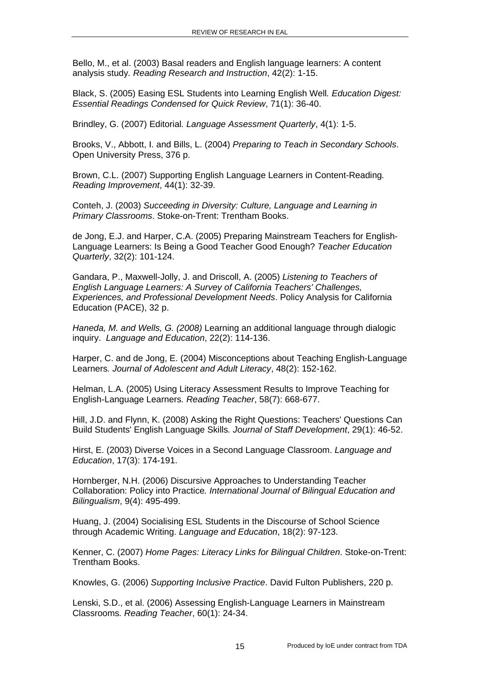Bello, M., et al. (2003) Basal readers and English language learners: A content analysis study*. Reading Research and Instruction*, 42(2): 1-15.

Black, S. (2005) Easing ESL Students into Learning English Well*. Education Digest: Essential Readings Condensed for Quick Review*, 71(1): 36-40.

Brindley, G. (2007) Editorial*. Language Assessment Quarterly*, 4(1): 1-5.

Brooks, V., Abbott, I. and Bills, L. (2004) *Preparing to Teach in Secondary Schools*. Open University Press, 376 p.

Brown, C.L. (2007) Supporting English Language Learners in Content-Reading*. Reading Improvement*, 44(1): 32-39.

Conteh, J. (2003) *Succeeding in Diversity: Culture, Language and Learning in Primary Classrooms*. Stoke-on-Trent: Trentham Books.

de Jong, E.J. and Harper, C.A. (2005) Preparing Mainstream Teachers for English-Language Learners: Is Being a Good Teacher Good Enough? *Teacher Education Quarterly*, 32(2): 101-124.

Gandara, P., Maxwell-Jolly, J. and Driscoll, A. (2005) *Listening to Teachers of English Language Learners: A Survey of California Teachers' Challenges, Experiences, and Professional Development Needs*. Policy Analysis for California Education (PACE), 32 p.

*Haneda, M. and Wells, G. (2008)* Learning an additional language through dialogic inquiry. *Language and Education*, 22(2): 114-136.

Harper, C. and de Jong, E. (2004) Misconceptions about Teaching English-Language Learners*. Journal of Adolescent and Adult Literacy*, 48(2): 152-162.

Helman, L.A. (2005) Using Literacy Assessment Results to Improve Teaching for English-Language Learners*. Reading Teacher*, 58(7): 668-677.

Hill, J.D. and Flynn, K. (2008) Asking the Right Questions: Teachers' Questions Can Build Students' English Language Skills*. Journal of Staff Development*, 29(1): 46-52.

Hirst, E. (2003) Diverse Voices in a Second Language Classroom. *Language and Education*, 17(3): 174-191.

Hornberger, N.H. (2006) Discursive Approaches to Understanding Teacher Collaboration: Policy into Practice*. International Journal of Bilingual Education and Bilingualism*, 9(4): 495-499.

Huang, J. (2004) Socialising ESL Students in the Discourse of School Science through Academic Writing. *Language and Education*, 18(2): 97-123.

Kenner, C. (2007) *Home Pages: Literacy Links for Bilingual Children*. Stoke-on-Trent: Trentham Books.

Knowles, G. (2006) *Supporting Inclusive Practice*. David Fulton Publishers, 220 p.

Lenski, S.D., et al. (2006) Assessing English-Language Learners in Mainstream Classrooms*. Reading Teacher*, 60(1): 24-34.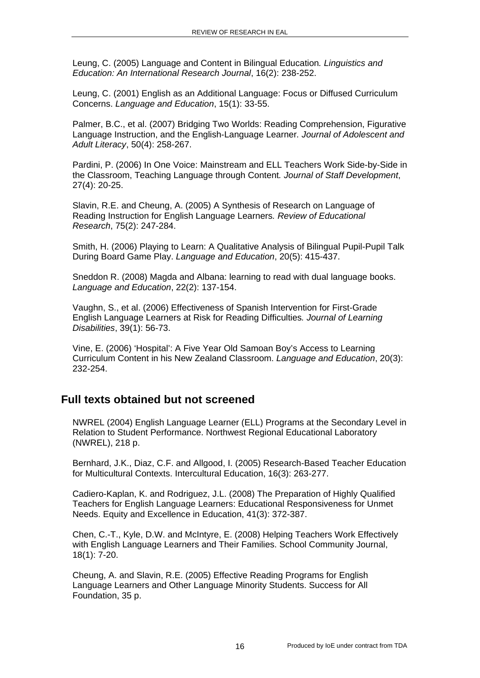Leung, C. (2005) Language and Content in Bilingual Education*. Linguistics and Education: An International Research Journal*, 16(2): 238-252.

Leung, C. (2001) English as an Additional Language: Focus or Diffused Curriculum Concerns. *Language and Education*, 15(1): 33-55.

Palmer, B.C., et al. (2007) Bridging Two Worlds: Reading Comprehension, Figurative Language Instruction, and the English-Language Learner*. Journal of Adolescent and Adult Literacy*, 50(4): 258-267.

Pardini, P. (2006) In One Voice: Mainstream and ELL Teachers Work Side-by-Side in the Classroom, Teaching Language through Content*. Journal of Staff Development*, 27(4): 20-25.

Slavin, R.E. and Cheung, A. (2005) A Synthesis of Research on Language of Reading Instruction for English Language Learners*. Review of Educational Research*, 75(2): 247-284.

Smith, H. (2006) Playing to Learn: A Qualitative Analysis of Bilingual Pupil-Pupil Talk During Board Game Play. *Language and Education*, 20(5): 415-437.

Sneddon R. (2008) Magda and Albana: learning to read with dual language books. *Language and Education*, 22(2): 137-154.

Vaughn, S., et al. (2006) Effectiveness of Spanish Intervention for First-Grade English Language Learners at Risk for Reading Difficulties*. Journal of Learning Disabilities*, 39(1): 56-73.

Vine, E. (2006) 'Hospital': A Five Year Old Samoan Boy's Access to Learning Curriculum Content in his New Zealand Classroom. *Language and Education*, 20(3): 232-254.

#### **Full texts obtained but not screened**

NWREL (2004) English Language Learner (ELL) Programs at the Secondary Level in Relation to Student Performance. Northwest Regional Educational Laboratory (NWREL), 218 p.

Bernhard, J.K., Diaz, C.F. and Allgood, I. (2005) Research-Based Teacher Education for Multicultural Contexts. Intercultural Education, 16(3): 263-277.

Cadiero-Kaplan, K. and Rodriguez, J.L. (2008) The Preparation of Highly Qualified Teachers for English Language Learners: Educational Responsiveness for Unmet Needs. Equity and Excellence in Education, 41(3): 372-387.

Chen, C.-T., Kyle, D.W. and McIntyre, E. (2008) Helping Teachers Work Effectively with English Language Learners and Their Families. School Community Journal, 18(1): 7-20.

Cheung, A. and Slavin, R.E. (2005) Effective Reading Programs for English Language Learners and Other Language Minority Students. Success for All Foundation, 35 p.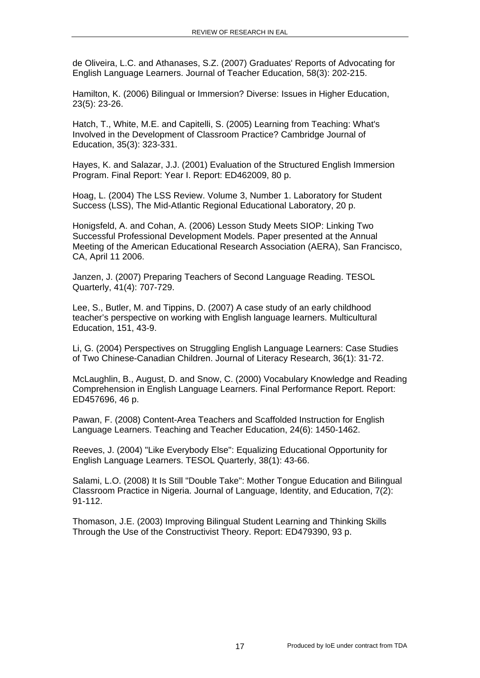de Oliveira, L.C. and Athanases, S.Z. (2007) Graduates' Reports of Advocating for English Language Learners. Journal of Teacher Education, 58(3): 202-215.

Hamilton, K. (2006) Bilingual or Immersion? Diverse: Issues in Higher Education, 23(5): 23-26.

Hatch, T., White, M.E. and Capitelli, S. (2005) Learning from Teaching: What's Involved in the Development of Classroom Practice? Cambridge Journal of Education, 35(3): 323-331.

Hayes, K. and Salazar, J.J. (2001) Evaluation of the Structured English Immersion Program. Final Report: Year I. Report: ED462009, 80 p.

Hoag, L. (2004) The LSS Review. Volume 3, Number 1. Laboratory for Student Success (LSS), The Mid-Atlantic Regional Educational Laboratory, 20 p.

Honigsfeld, A. and Cohan, A. (2006) Lesson Study Meets SIOP: Linking Two Successful Professional Development Models. Paper presented at the Annual Meeting of the American Educational Research Association (AERA), San Francisco, CA, April 11 2006.

Janzen, J. (2007) Preparing Teachers of Second Language Reading. TESOL Quarterly, 41(4): 707-729.

Lee, S., Butler, M. and Tippins, D. (2007) A case study of an early childhood teacher's perspective on working with English language learners. Multicultural Education, 151, 43-9.

Li, G. (2004) Perspectives on Struggling English Language Learners: Case Studies of Two Chinese-Canadian Children. Journal of Literacy Research, 36(1): 31-72.

McLaughlin, B., August, D. and Snow, C. (2000) Vocabulary Knowledge and Reading Comprehension in English Language Learners. Final Performance Report. Report: ED457696, 46 p.

Pawan, F. (2008) Content-Area Teachers and Scaffolded Instruction for English Language Learners. Teaching and Teacher Education, 24(6): 1450-1462.

Reeves, J. (2004) "Like Everybody Else": Equalizing Educational Opportunity for English Language Learners. TESOL Quarterly, 38(1): 43-66.

Salami, L.O. (2008) It Is Still "Double Take": Mother Tongue Education and Bilingual Classroom Practice in Nigeria. Journal of Language, Identity, and Education, 7(2): 91-112.

Thomason, J.E. (2003) Improving Bilingual Student Learning and Thinking Skills Through the Use of the Constructivist Theory. Report: ED479390, 93 p.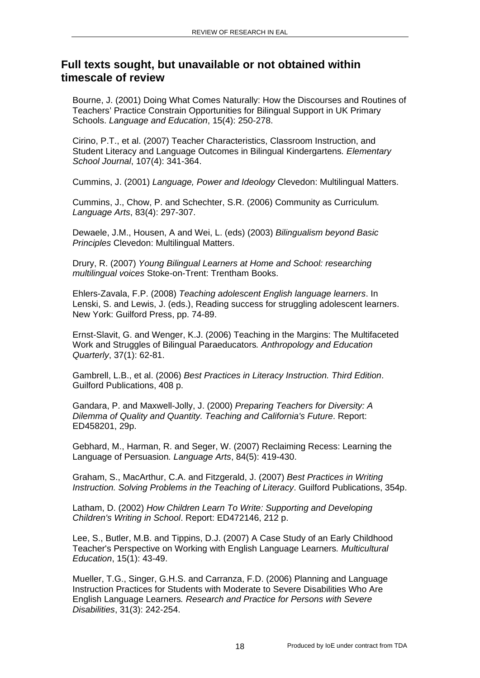### **Full texts sought, but unavailable or not obtained within timescale of review**

Bourne, J. (2001) Doing What Comes Naturally: How the Discourses and Routines of Teachers' Practice Constrain Opportunities for Bilingual Support in UK Primary Schools. *Language and Education*, 15(4): 250-278.

Cirino, P.T., et al. (2007) Teacher Characteristics, Classroom Instruction, and Student Literacy and Language Outcomes in Bilingual Kindergartens*. Elementary School Journal*, 107(4): 341-364.

Cummins, J. (2001) *Language, Power and Ideology* Clevedon: Multilingual Matters.

Cummins, J., Chow, P. and Schechter, S.R. (2006) Community as Curriculum*. Language Arts*, 83(4): 297-307.

Dewaele, J.M., Housen, A and Wei, L. (eds) (2003) *Bilingualism beyond Basic Principles* Clevedon: Multilingual Matters.

Drury, R. (2007) *Young Bilingual Learners at Home and School: researching multilingual voices* Stoke-on-Trent: Trentham Books.

Ehlers-Zavala, F.P. (2008) *Teaching adolescent English language learners*. In Lenski, S. and Lewis, J. (eds.), Reading success for struggling adolescent learners. New York: Guilford Press, pp. 74-89.

Ernst-Slavit, G. and Wenger, K.J. (2006) Teaching in the Margins: The Multifaceted Work and Struggles of Bilingual Paraeducators*. Anthropology and Education Quarterly*, 37(1): 62-81.

Gambrell, L.B., et al. (2006) *Best Practices in Literacy Instruction. Third Edition*. Guilford Publications, 408 p.

Gandara, P. and Maxwell-Jolly, J. (2000) *Preparing Teachers for Diversity: A Dilemma of Quality and Quantity. Teaching and California's Future*. Report: ED458201, 29p.

Gebhard, M., Harman, R. and Seger, W. (2007) Reclaiming Recess: Learning the Language of Persuasion*. Language Arts*, 84(5): 419-430.

Graham, S., MacArthur, C.A. and Fitzgerald, J. (2007) *Best Practices in Writing Instruction. Solving Problems in the Teaching of Literacy*. Guilford Publications, 354p.

Latham, D. (2002) *How Children Learn To Write: Supporting and Developing Children's Writing in School*. Report: ED472146, 212 p.

Lee, S., Butler, M.B. and Tippins, D.J. (2007) A Case Study of an Early Childhood Teacher's Perspective on Working with English Language Learners*. Multicultural Education*, 15(1): 43-49.

Mueller, T.G., Singer, G.H.S. and Carranza, F.D. (2006) Planning and Language Instruction Practices for Students with Moderate to Severe Disabilities Who Are English Language Learners*. Research and Practice for Persons with Severe Disabilities*, 31(3): 242-254.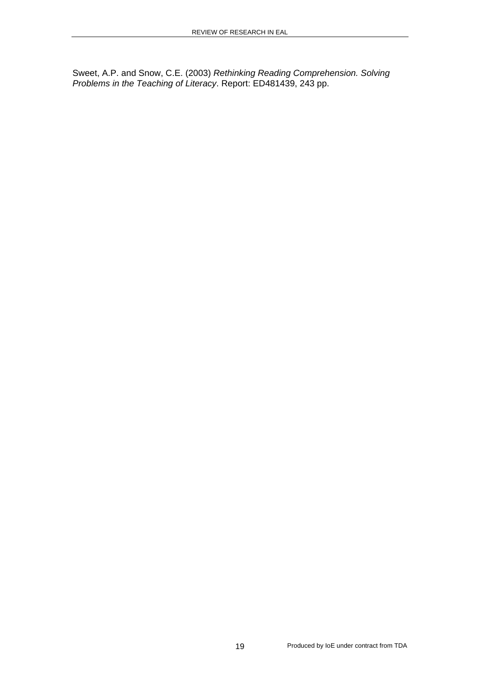Sweet, A.P. and Snow, C.E. (2003) *Rethinking Reading Comprehension. Solving Problems in the Teaching of Literacy*. Report: ED481439, 243 pp.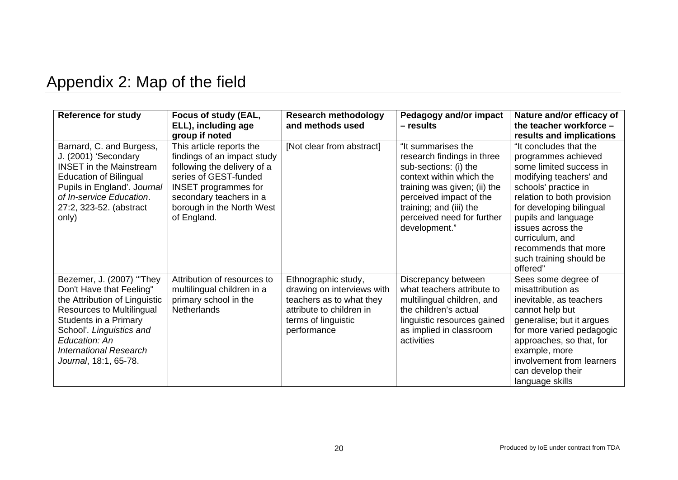# Appendix 2: Map of the field

| <b>Reference for study</b>                                                                                                                                                                                                                                | Focus of study (EAL,<br>ELL), including age<br>group if noted                                                                                                                                                         | <b>Research methodology</b><br>and methods used                                                                                                 | <b>Pedagogy and/or impact</b><br>- results                                                                                                                                                                                                 | Nature and/or efficacy of<br>the teacher workforce -<br>results and implications                                                                                                                                                                                                                                    |
|-----------------------------------------------------------------------------------------------------------------------------------------------------------------------------------------------------------------------------------------------------------|-----------------------------------------------------------------------------------------------------------------------------------------------------------------------------------------------------------------------|-------------------------------------------------------------------------------------------------------------------------------------------------|--------------------------------------------------------------------------------------------------------------------------------------------------------------------------------------------------------------------------------------------|---------------------------------------------------------------------------------------------------------------------------------------------------------------------------------------------------------------------------------------------------------------------------------------------------------------------|
| Barnard, C. and Burgess,<br>J. (2001) 'Secondary<br><b>INSET</b> in the Mainstream<br><b>Education of Bilingual</b><br>Pupils in England'. Journal<br>of In-service Education.<br>27:2, 323-52. (abstract<br>only)                                        | This article reports the<br>findings of an impact study<br>following the delivery of a<br>series of GEST-funded<br><b>INSET</b> programmes for<br>secondary teachers in a<br>borough in the North West<br>of England. | [Not clear from abstract]                                                                                                                       | "It summarises the<br>research findings in three<br>sub-sections: (i) the<br>context within which the<br>training was given; (ii) the<br>perceived impact of the<br>training; and (iii) the<br>perceived need for further<br>development." | "It concludes that the<br>programmes achieved<br>some limited success in<br>modifying teachers' and<br>schools' practice in<br>relation to both provision<br>for developing bilingual<br>pupils and language<br>issues across the<br>curriculum, and<br>recommends that more<br>such training should be<br>offered" |
| Bezemer, J. (2007) "They<br>Don't Have that Feeling"<br>the Attribution of Linguistic<br><b>Resources to Multilingual</b><br>Students in a Primary<br>School'. Linguistics and<br>Education: An<br><b>International Research</b><br>Journal, 18:1, 65-78. | Attribution of resources to<br>multilingual children in a<br>primary school in the<br><b>Netherlands</b>                                                                                                              | Ethnographic study,<br>drawing on interviews with<br>teachers as to what they<br>attribute to children in<br>terms of linguistic<br>performance | Discrepancy between<br>what teachers attribute to<br>multilingual children, and<br>the children's actual<br>linguistic resources gained<br>as implied in classroom<br>activities                                                           | Sees some degree of<br>misattribution as<br>inevitable, as teachers<br>cannot help but<br>generalise; but it argues<br>for more varied pedagogic<br>approaches, so that, for<br>example, more<br>involvement from learners<br>can develop their<br>language skills                                                  |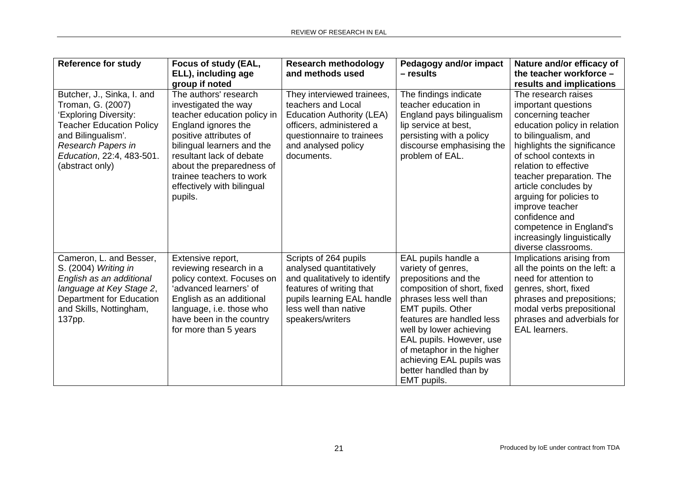| <b>Reference for study</b>                                                                                                                                                                              | Focus of study (EAL,<br>ELL), including age<br>group if noted                                                                                                                                                                                                                             | <b>Research methodology</b><br>and methods used                                                                                                                                          | <b>Pedagogy and/or impact</b><br>- results                                                                                                                                                                                                                                                                                                   | Nature and/or efficacy of<br>the teacher workforce -<br>results and implications                                                                                                                                                                                                                                                                                                                               |
|---------------------------------------------------------------------------------------------------------------------------------------------------------------------------------------------------------|-------------------------------------------------------------------------------------------------------------------------------------------------------------------------------------------------------------------------------------------------------------------------------------------|------------------------------------------------------------------------------------------------------------------------------------------------------------------------------------------|----------------------------------------------------------------------------------------------------------------------------------------------------------------------------------------------------------------------------------------------------------------------------------------------------------------------------------------------|----------------------------------------------------------------------------------------------------------------------------------------------------------------------------------------------------------------------------------------------------------------------------------------------------------------------------------------------------------------------------------------------------------------|
| Butcher, J., Sinka, I. and<br>Troman, G. (2007)<br>'Exploring Diversity:<br><b>Teacher Education Policy</b><br>and Bilingualism'.<br>Research Papers in<br>Education, 22:4, 483-501.<br>(abstract only) | The authors' research<br>investigated the way<br>teacher education policy in<br>England ignores the<br>positive attributes of<br>bilingual learners and the<br>resultant lack of debate<br>about the preparedness of<br>trainee teachers to work<br>effectively with bilingual<br>pupils. | They interviewed trainees,<br>teachers and Local<br><b>Education Authority (LEA)</b><br>officers, administered a<br>questionnaire to trainees<br>and analysed policy<br>documents.       | The findings indicate<br>teacher education in<br>England pays bilingualism<br>lip service at best,<br>persisting with a policy<br>discourse emphasising the<br>problem of EAL.                                                                                                                                                               | The research raises<br>important questions<br>concerning teacher<br>education policy in relation<br>to bilingualism, and<br>highlights the significance<br>of school contexts in<br>relation to effective<br>teacher preparation. The<br>article concludes by<br>arguing for policies to<br>improve teacher<br>confidence and<br>competence in England's<br>increasingly linguistically<br>diverse classrooms. |
| Cameron, L. and Besser,<br>S. (2004) Writing in<br>English as an additional<br>language at Key Stage 2,<br>Department for Education<br>and Skills, Nottingham,<br>137pp.                                | Extensive report,<br>reviewing research in a<br>policy context. Focuses on<br>'advanced learners' of<br>English as an additional<br>language, i.e. those who<br>have been in the country<br>for more than 5 years                                                                         | Scripts of 264 pupils<br>analysed quantitatively<br>and qualitatively to identify<br>features of writing that<br>pupils learning EAL handle<br>less well than native<br>speakers/writers | EAL pupils handle a<br>variety of genres,<br>prepositions and the<br>composition of short, fixed<br>phrases less well than<br><b>EMT</b> pupils. Other<br>features are handled less<br>well by lower achieving<br>EAL pupils. However, use<br>of metaphor in the higher<br>achieving EAL pupils was<br>better handled than by<br>EMT pupils. | Implications arising from<br>all the points on the left: a<br>need for attention to<br>genres, short, fixed<br>phrases and prepositions;<br>modal verbs prepositional<br>phrases and adverbials for<br><b>EAL</b> learners.                                                                                                                                                                                    |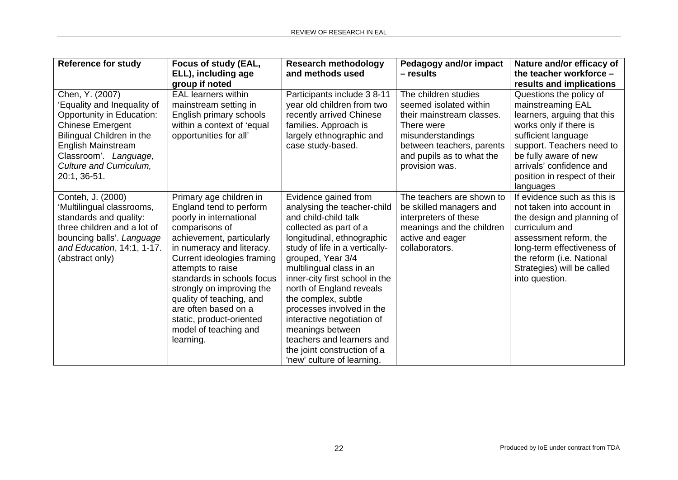| <b>Reference for study</b>                                                                                                                                                                                                    | Focus of study (EAL,<br>ELL), including age<br>group if noted                                                                                                                                                                                                                                                                                                                                 | <b>Research methodology</b><br>and methods used                                                                                                                                                                                                                                                                                                                                                                                                                                      | Pedagogy and/or impact<br>- results                                                                                                                                                        | Nature and/or efficacy of<br>the teacher workforce -<br>results and implications                                                                                                                                                                            |
|-------------------------------------------------------------------------------------------------------------------------------------------------------------------------------------------------------------------------------|-----------------------------------------------------------------------------------------------------------------------------------------------------------------------------------------------------------------------------------------------------------------------------------------------------------------------------------------------------------------------------------------------|--------------------------------------------------------------------------------------------------------------------------------------------------------------------------------------------------------------------------------------------------------------------------------------------------------------------------------------------------------------------------------------------------------------------------------------------------------------------------------------|--------------------------------------------------------------------------------------------------------------------------------------------------------------------------------------------|-------------------------------------------------------------------------------------------------------------------------------------------------------------------------------------------------------------------------------------------------------------|
| Chen, Y. (2007)<br>'Equality and Inequality of<br>Opportunity in Education:<br><b>Chinese Emergent</b><br>Bilingual Children in the<br>English Mainstream<br>Classroom'. Language,<br>Culture and Curriculum,<br>20:1, 36-51. | <b>EAL learners within</b><br>mainstream setting in<br>English primary schools<br>within a context of 'equal<br>opportunities for all'                                                                                                                                                                                                                                                        | Participants include 3 8-11<br>year old children from two<br>recently arrived Chinese<br>families. Approach is<br>largely ethnographic and<br>case study-based.                                                                                                                                                                                                                                                                                                                      | The children studies<br>seemed isolated within<br>their mainstream classes.<br>There were<br>misunderstandings<br>between teachers, parents<br>and pupils as to what the<br>provision was. | Questions the policy of<br>mainstreaming EAL<br>learners, arguing that this<br>works only if there is<br>sufficient language<br>support. Teachers need to<br>be fully aware of new<br>arrivals' confidence and<br>position in respect of their<br>languages |
| Conteh, J. (2000)<br>'Multilingual classrooms,<br>standards and quality:<br>three children and a lot of<br>bouncing balls'. Language<br>and Education, 14:1, 1-17.<br>(abstract only)                                         | Primary age children in<br>England tend to perform<br>poorly in international<br>comparisons of<br>achievement, particularly<br>in numeracy and literacy.<br>Current ideologies framing<br>attempts to raise<br>standards in schools focus<br>strongly on improving the<br>quality of teaching, and<br>are often based on a<br>static, product-oriented<br>model of teaching and<br>learning. | Evidence gained from<br>analysing the teacher-child<br>and child-child talk<br>collected as part of a<br>longitudinal, ethnographic<br>study of life in a vertically-<br>grouped, Year 3/4<br>multilingual class in an<br>inner-city first school in the<br>north of England reveals<br>the complex, subtle<br>processes involved in the<br>interactive negotiation of<br>meanings between<br>teachers and learners and<br>the joint construction of a<br>'new' culture of learning. | The teachers are shown to<br>be skilled managers and<br>interpreters of these<br>meanings and the children<br>active and eager<br>collaborators.                                           | If evidence such as this is<br>not taken into account in<br>the design and planning of<br>curriculum and<br>assessment reform, the<br>long-term effectiveness of<br>the reform (i.e. National<br>Strategies) will be called<br>into question.               |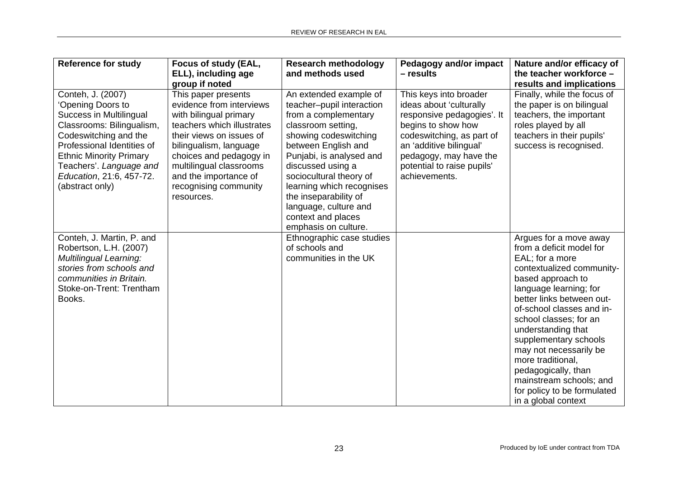| <b>Reference for study</b>                                                                                                                                                                                                                                        | Focus of study (EAL,                                                                                                                                                                                                                                                                | <b>Research methodology</b>                                                                                                                                                                                                                                                                                                                                | Pedagogy and/or impact                                                                                                                                                                                                                 | Nature and/or efficacy of                                                                                                                                                                                                                                                                                                                                                                                                                   |
|-------------------------------------------------------------------------------------------------------------------------------------------------------------------------------------------------------------------------------------------------------------------|-------------------------------------------------------------------------------------------------------------------------------------------------------------------------------------------------------------------------------------------------------------------------------------|------------------------------------------------------------------------------------------------------------------------------------------------------------------------------------------------------------------------------------------------------------------------------------------------------------------------------------------------------------|----------------------------------------------------------------------------------------------------------------------------------------------------------------------------------------------------------------------------------------|---------------------------------------------------------------------------------------------------------------------------------------------------------------------------------------------------------------------------------------------------------------------------------------------------------------------------------------------------------------------------------------------------------------------------------------------|
|                                                                                                                                                                                                                                                                   | ELL), including age<br>group if noted                                                                                                                                                                                                                                               | and methods used                                                                                                                                                                                                                                                                                                                                           | $-$ results                                                                                                                                                                                                                            | the teacher workforce -<br>results and implications                                                                                                                                                                                                                                                                                                                                                                                         |
| Conteh, J. (2007)<br>'Opening Doors to<br>Success in Multilingual<br>Classrooms: Bilingualism,<br>Codeswitching and the<br>Professional Identities of<br><b>Ethnic Minority Primary</b><br>Teachers'. Language and<br>Education, 21:6, 457-72.<br>(abstract only) | This paper presents<br>evidence from interviews<br>with bilingual primary<br>teachers which illustrates<br>their views on issues of<br>bilingualism, language<br>choices and pedagogy in<br>multilingual classrooms<br>and the importance of<br>recognising community<br>resources. | An extended example of<br>teacher-pupil interaction<br>from a complementary<br>classroom setting,<br>showing codeswitching<br>between English and<br>Punjabi, is analysed and<br>discussed using a<br>sociocultural theory of<br>learning which recognises<br>the inseparability of<br>language, culture and<br>context and places<br>emphasis on culture. | This keys into broader<br>ideas about 'culturally<br>responsive pedagogies'. It<br>begins to show how<br>codeswitching, as part of<br>an 'additive bilingual'<br>pedagogy, may have the<br>potential to raise pupils'<br>achievements. | Finally, while the focus of<br>the paper is on bilingual<br>teachers, the important<br>roles played by all<br>teachers in their pupils'<br>success is recognised.                                                                                                                                                                                                                                                                           |
| Conteh, J. Martin, P. and<br>Robertson, L.H. (2007)<br><b>Multilingual Learning:</b><br>stories from schools and<br>communities in Britain.<br>Stoke-on-Trent: Trentham<br>Books.                                                                                 |                                                                                                                                                                                                                                                                                     | Ethnographic case studies<br>of schools and<br>communities in the UK                                                                                                                                                                                                                                                                                       |                                                                                                                                                                                                                                        | Argues for a move away<br>from a deficit model for<br>EAL; for a more<br>contextualized community-<br>based approach to<br>language learning; for<br>better links between out-<br>of-school classes and in-<br>school classes; for an<br>understanding that<br>supplementary schools<br>may not necessarily be<br>more traditional,<br>pedagogically, than<br>mainstream schools; and<br>for policy to be formulated<br>in a global context |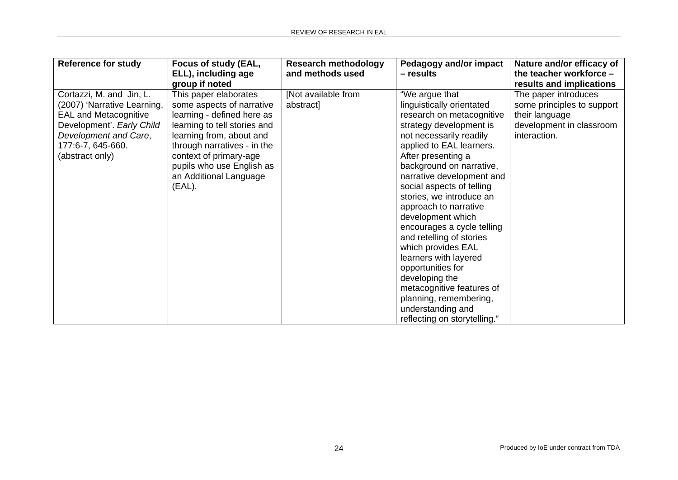| <b>Reference for study</b>                                                                                                                                                            | Focus of study (EAL,<br>ELL), including age<br>group if noted                                                                                                                                                                                                          | <b>Research methodology</b><br>and methods used | Pedagogy and/or impact<br>– results                                                                                                                                                                                                                                                                                                                                                                                                                                                                                                                                                                          | Nature and/or efficacy of<br>the teacher workforce -<br>results and implications                                 |
|---------------------------------------------------------------------------------------------------------------------------------------------------------------------------------------|------------------------------------------------------------------------------------------------------------------------------------------------------------------------------------------------------------------------------------------------------------------------|-------------------------------------------------|--------------------------------------------------------------------------------------------------------------------------------------------------------------------------------------------------------------------------------------------------------------------------------------------------------------------------------------------------------------------------------------------------------------------------------------------------------------------------------------------------------------------------------------------------------------------------------------------------------------|------------------------------------------------------------------------------------------------------------------|
| Cortazzi, M. and Jin, L.<br>(2007) 'Narrative Learning,<br><b>EAL and Metacognitive</b><br>Development'. Early Child<br>Development and Care,<br>177:6-7, 645-660.<br>(abstract only) | This paper elaborates<br>some aspects of narrative<br>learning - defined here as<br>learning to tell stories and<br>learning from, about and<br>through narratives - in the<br>context of primary-age<br>pupils who use English as<br>an Additional Language<br>(EAL). | [Not available from<br>abstract]                | "We argue that<br>linguistically orientated<br>research on metacognitive<br>strategy development is<br>not necessarily readily<br>applied to EAL learners.<br>After presenting a<br>background on narrative,<br>narrative development and<br>social aspects of telling<br>stories, we introduce an<br>approach to narrative<br>development which<br>encourages a cycle telling<br>and retelling of stories<br>which provides EAL<br>learners with layered<br>opportunities for<br>developing the<br>metacognitive features of<br>planning, remembering,<br>understanding and<br>reflecting on storytelling." | The paper introduces<br>some principles to support<br>their language<br>development in classroom<br>interaction. |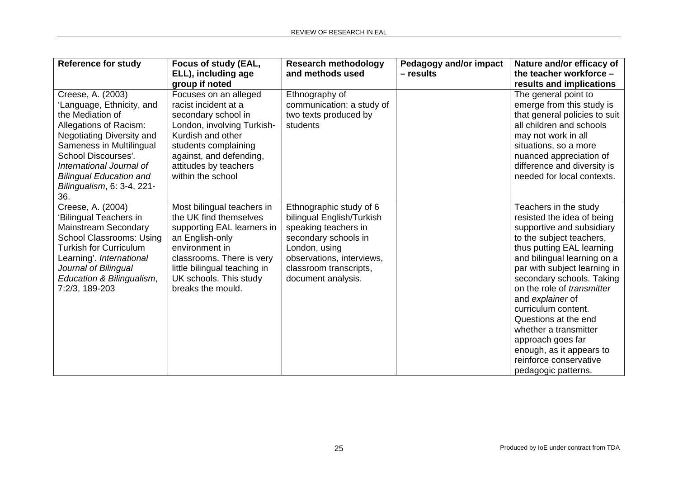| <b>Reference for study</b>                                                                                                                                                                                                                                                             | Focus of study (EAL,<br>ELL), including age<br>group if noted                                                                                                                                                                       | <b>Research methodology</b><br>and methods used                                                                                                                                                    | Pedagogy and/or impact<br>- results | Nature and/or efficacy of<br>the teacher workforce -<br>results and implications                                                                                                                                                                                                                                                                                                                                                                                  |
|----------------------------------------------------------------------------------------------------------------------------------------------------------------------------------------------------------------------------------------------------------------------------------------|-------------------------------------------------------------------------------------------------------------------------------------------------------------------------------------------------------------------------------------|----------------------------------------------------------------------------------------------------------------------------------------------------------------------------------------------------|-------------------------------------|-------------------------------------------------------------------------------------------------------------------------------------------------------------------------------------------------------------------------------------------------------------------------------------------------------------------------------------------------------------------------------------------------------------------------------------------------------------------|
| Creese, A. (2003)<br>'Language, Ethnicity, and<br>the Mediation of<br>Allegations of Racism:<br><b>Negotiating Diversity and</b><br>Sameness in Multilingual<br>School Discourses'.<br>International Journal of<br><b>Bilingual Education and</b><br>Bilingualism, 6: 3-4, 221-<br>36. | Focuses on an alleged<br>racist incident at a<br>secondary school in<br>London, involving Turkish-<br>Kurdish and other<br>students complaining<br>against, and defending,<br>attitudes by teachers<br>within the school            | Ethnography of<br>communication: a study of<br>two texts produced by<br>students                                                                                                                   |                                     | The general point to<br>emerge from this study is<br>that general policies to suit<br>all children and schools<br>may not work in all<br>situations, so a more<br>nuanced appreciation of<br>difference and diversity is<br>needed for local contexts.                                                                                                                                                                                                            |
| Creese, A. (2004)<br><b>Bilingual Teachers in</b><br>Mainstream Secondary<br><b>School Classrooms: Using</b><br><b>Turkish for Curriculum</b><br>Learning'. International<br>Journal of Bilingual<br>Education & Bilingualism,<br>7:2/3, 189-203                                       | Most bilingual teachers in<br>the UK find themselves<br>supporting EAL learners in<br>an English-only<br>environment in<br>classrooms. There is very<br>little bilingual teaching in<br>UK schools. This study<br>breaks the mould. | Ethnographic study of 6<br>bilingual English/Turkish<br>speaking teachers in<br>secondary schools in<br>London, using<br>observations, interviews,<br>classroom transcripts,<br>document analysis. |                                     | Teachers in the study<br>resisted the idea of being<br>supportive and subsidiary<br>to the subject teachers,<br>thus putting EAL learning<br>and bilingual learning on a<br>par with subject learning in<br>secondary schools. Taking<br>on the role of transmitter<br>and explainer of<br>curriculum content.<br>Questions at the end<br>whether a transmitter<br>approach goes far<br>enough, as it appears to<br>reinforce conservative<br>pedagogic patterns. |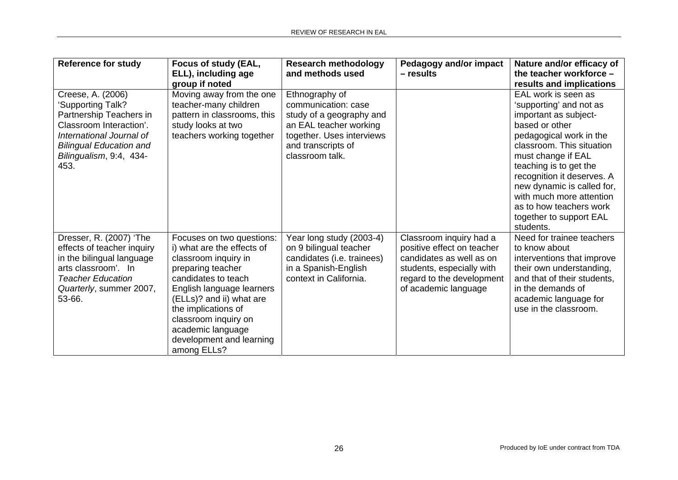| <b>Reference for study</b>                                                                                                                                                                    | Focus of study (EAL,<br>ELL), including age                                                                                                                                                                                                                                                         | <b>Research methodology</b><br>and methods used                                                                                                                   | <b>Pedagogy and/or impact</b><br>- results                                                                                                                          | Nature and/or efficacy of<br>the teacher workforce -                                                                                                                                                                                                                                                                                                         |
|-----------------------------------------------------------------------------------------------------------------------------------------------------------------------------------------------|-----------------------------------------------------------------------------------------------------------------------------------------------------------------------------------------------------------------------------------------------------------------------------------------------------|-------------------------------------------------------------------------------------------------------------------------------------------------------------------|---------------------------------------------------------------------------------------------------------------------------------------------------------------------|--------------------------------------------------------------------------------------------------------------------------------------------------------------------------------------------------------------------------------------------------------------------------------------------------------------------------------------------------------------|
|                                                                                                                                                                                               | group if noted                                                                                                                                                                                                                                                                                      |                                                                                                                                                                   |                                                                                                                                                                     | results and implications                                                                                                                                                                                                                                                                                                                                     |
| Creese, A. (2006)<br>'Supporting Talk?<br>Partnership Teachers in<br>Classroom Interaction'.<br>International Journal of<br><b>Bilingual Education and</b><br>Bilingualism, 9:4, 434-<br>453. | Moving away from the one<br>teacher-many children<br>pattern in classrooms, this<br>study looks at two<br>teachers working together                                                                                                                                                                 | Ethnography of<br>communication: case<br>study of a geography and<br>an EAL teacher working<br>together. Uses interviews<br>and transcripts of<br>classroom talk. |                                                                                                                                                                     | EAL work is seen as<br>'supporting' and not as<br>important as subject-<br>based or other<br>pedagogical work in the<br>classroom. This situation<br>must change if EAL<br>teaching is to get the<br>recognition it deserves. A<br>new dynamic is called for,<br>with much more attention<br>as to how teachers work<br>together to support EAL<br>students. |
| Dresser, R. (2007) 'The<br>effects of teacher inquiry<br>in the bilingual language<br>arts classroom'. In<br><b>Teacher Education</b><br>Quarterly, summer 2007,<br>53-66.                    | Focuses on two questions:<br>i) what are the effects of<br>classroom inquiry in<br>preparing teacher<br>candidates to teach<br>English language learners<br>(ELLs)? and ii) what are<br>the implications of<br>classroom inquiry on<br>academic language<br>development and learning<br>among ELLs? | Year long study (2003-4)<br>on 9 bilingual teacher<br>candidates (i.e. trainees)<br>in a Spanish-English<br>context in California.                                | Classroom inquiry had a<br>positive effect on teacher<br>candidates as well as on<br>students, especially with<br>regard to the development<br>of academic language | Need for trainee teachers<br>to know about<br>interventions that improve<br>their own understanding,<br>and that of their students,<br>in the demands of<br>academic language for<br>use in the classroom.                                                                                                                                                   |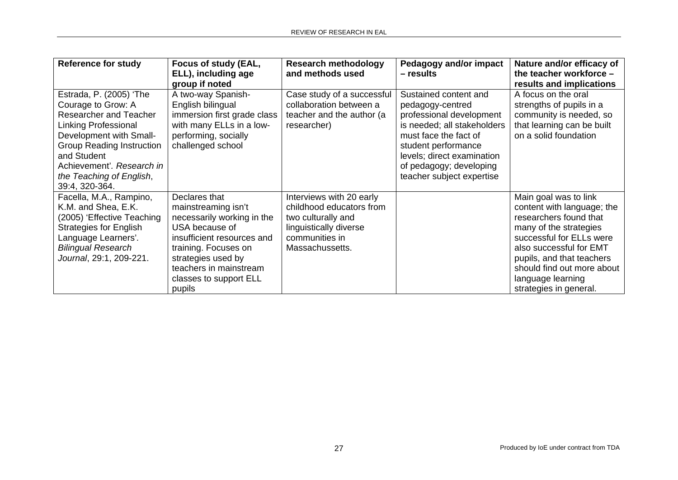| <b>Reference for study</b>                                                                                                                                                                                                                                      | Focus of study (EAL,<br>ELL), including age<br>group if noted                                                                                                                                                                  | <b>Research methodology</b><br>and methods used                                                                                           | Pedagogy and/or impact<br>- results                                                                                                                                                                                                        | Nature and/or efficacy of<br>the teacher workforce -<br>results and implications                                                                                                                                                                                         |
|-----------------------------------------------------------------------------------------------------------------------------------------------------------------------------------------------------------------------------------------------------------------|--------------------------------------------------------------------------------------------------------------------------------------------------------------------------------------------------------------------------------|-------------------------------------------------------------------------------------------------------------------------------------------|--------------------------------------------------------------------------------------------------------------------------------------------------------------------------------------------------------------------------------------------|--------------------------------------------------------------------------------------------------------------------------------------------------------------------------------------------------------------------------------------------------------------------------|
| Estrada, P. (2005) 'The<br>Courage to Grow: A<br>Researcher and Teacher<br><b>Linking Professional</b><br>Development with Small-<br><b>Group Reading Instruction</b><br>and Student<br>Achievement'. Research in<br>the Teaching of English,<br>39:4, 320-364. | A two-way Spanish-<br>English bilingual<br>immersion first grade class<br>with many ELLs in a low-<br>performing, socially<br>challenged school                                                                                | Case study of a successful<br>collaboration between a<br>teacher and the author (a<br>researcher)                                         | Sustained content and<br>pedagogy-centred<br>professional development<br>is needed; all stakeholders<br>must face the fact of<br>student performance<br>levels; direct examination<br>of pedagogy; developing<br>teacher subject expertise | A focus on the oral<br>strengths of pupils in a<br>community is needed, so<br>that learning can be built<br>on a solid foundation                                                                                                                                        |
| Facella, M.A., Rampino,<br>K.M. and Shea, E.K.<br>(2005) 'Effective Teaching<br><b>Strategies for English</b><br>Language Learners'.<br><b>Bilingual Research</b><br>Journal, 29:1, 209-221.                                                                    | Declares that<br>mainstreaming isn't<br>necessarily working in the<br>USA because of<br>insufficient resources and<br>training. Focuses on<br>strategies used by<br>teachers in mainstream<br>classes to support ELL<br>pupils | Interviews with 20 early<br>childhood educators from<br>two culturally and<br>linguistically diverse<br>communities in<br>Massachussetts. |                                                                                                                                                                                                                                            | Main goal was to link<br>content with language; the<br>researchers found that<br>many of the strategies<br>successful for ELLs were<br>also successful for EMT<br>pupils, and that teachers<br>should find out more about<br>language learning<br>strategies in general. |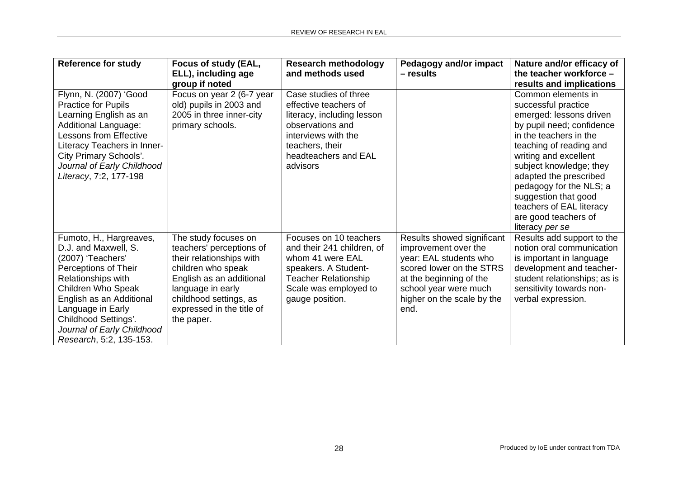| <b>Reference for study</b>    | Focus of study (EAL,<br>ELL), including age | <b>Research methodology</b><br>and methods used | Pedagogy and/or impact<br>– results | Nature and/or efficacy of<br>the teacher workforce - |
|-------------------------------|---------------------------------------------|-------------------------------------------------|-------------------------------------|------------------------------------------------------|
|                               | group if noted                              |                                                 |                                     | results and implications                             |
| Flynn, N. (2007) 'Good        | Focus on year 2 (6-7 year                   | Case studies of three                           |                                     | Common elements in                                   |
| <b>Practice for Pupils</b>    | old) pupils in 2003 and                     | effective teachers of                           |                                     | successful practice                                  |
| Learning English as an        | 2005 in three inner-city                    | literacy, including lesson                      |                                     | emerged: lessons driven                              |
| Additional Language:          | primary schools.                            | observations and                                |                                     | by pupil need; confidence                            |
| <b>Lessons from Effective</b> |                                             | interviews with the                             |                                     | in the teachers in the                               |
| Literacy Teachers in Inner-   |                                             | teachers, their                                 |                                     | teaching of reading and                              |
| City Primary Schools'.        |                                             | headteachers and EAL                            |                                     | writing and excellent                                |
| Journal of Early Childhood    |                                             | advisors                                        |                                     | subject knowledge; they                              |
| Literacy, 7:2, 177-198        |                                             |                                                 |                                     | adapted the prescribed                               |
|                               |                                             |                                                 |                                     | pedagogy for the NLS; a                              |
|                               |                                             |                                                 |                                     | suggestion that good                                 |
|                               |                                             |                                                 |                                     | teachers of EAL literacy                             |
|                               |                                             |                                                 |                                     | are good teachers of                                 |
|                               |                                             |                                                 |                                     | literacy per se                                      |
| Fumoto, H., Hargreaves,       | The study focuses on                        | Focuses on 10 teachers                          | Results showed significant          | Results add support to the                           |
| D.J. and Maxwell, S.          | teachers' perceptions of                    | and their 241 children, of                      | improvement over the                | notion oral communication                            |
| (2007) 'Teachers'             | their relationships with                    | whom 41 were EAL                                | year: EAL students who              | is important in language                             |
| Perceptions of Their          | children who speak                          | speakers. A Student-                            | scored lower on the STRS            | development and teacher-                             |
| Relationships with            | English as an additional                    | <b>Teacher Relationship</b>                     | at the beginning of the             | student relationships; as is                         |
| Children Who Speak            | language in early                           | Scale was employed to                           | school year were much               | sensitivity towards non-                             |
| English as an Additional      | childhood settings, as                      | gauge position.                                 | higher on the scale by the          | verbal expression.                                   |
| Language in Early             | expressed in the title of                   |                                                 | end.                                |                                                      |
| Childhood Settings'.          | the paper.                                  |                                                 |                                     |                                                      |
| Journal of Early Childhood    |                                             |                                                 |                                     |                                                      |
| Research, 5:2, 135-153.       |                                             |                                                 |                                     |                                                      |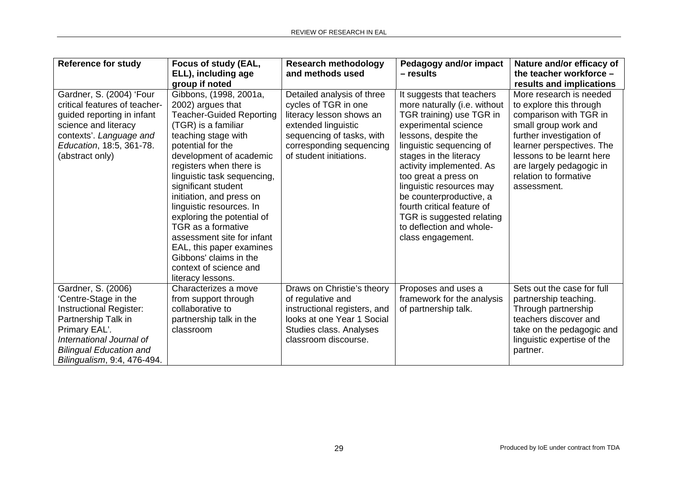| <b>Reference for study</b>                                                                                                                                                                                        | Focus of study (EAL,<br>ELL), including age<br>group if noted                                                                                                                                                                                                                                                                                                                                                                                                                                                | <b>Research methodology</b><br>and methods used                                                                                                                                           | Pedagogy and/or impact<br>– results                                                                                                                                                                                                                                                                                                                                                                                | Nature and/or efficacy of<br>the teacher workforce -<br>results and implications                                                                                                                                                                               |
|-------------------------------------------------------------------------------------------------------------------------------------------------------------------------------------------------------------------|--------------------------------------------------------------------------------------------------------------------------------------------------------------------------------------------------------------------------------------------------------------------------------------------------------------------------------------------------------------------------------------------------------------------------------------------------------------------------------------------------------------|-------------------------------------------------------------------------------------------------------------------------------------------------------------------------------------------|--------------------------------------------------------------------------------------------------------------------------------------------------------------------------------------------------------------------------------------------------------------------------------------------------------------------------------------------------------------------------------------------------------------------|----------------------------------------------------------------------------------------------------------------------------------------------------------------------------------------------------------------------------------------------------------------|
| Gardner, S. (2004) 'Four<br>critical features of teacher-<br>guided reporting in infant<br>science and literacy<br>contexts'. Language and<br>Education, 18:5, 361-78.<br>(abstract only)                         | Gibbons, (1998, 2001a,<br>2002) argues that<br><b>Teacher-Guided Reporting</b><br>(TGR) is a familiar<br>teaching stage with<br>potential for the<br>development of academic<br>registers when there is<br>linguistic task sequencing,<br>significant student<br>initiation, and press on<br>linguistic resources. In<br>exploring the potential of<br>TGR as a formative<br>assessment site for infant<br>EAL, this paper examines<br>Gibbons' claims in the<br>context of science and<br>literacy lessons. | Detailed analysis of three<br>cycles of TGR in one<br>literacy lesson shows an<br>extended linguistic<br>sequencing of tasks, with<br>corresponding sequencing<br>of student initiations. | It suggests that teachers<br>more naturally (i.e. without<br>TGR training) use TGR in<br>experimental science<br>lessons, despite the<br>linguistic sequencing of<br>stages in the literacy<br>activity implemented. As<br>too great a press on<br>linguistic resources may<br>be counterproductive, a<br>fourth critical feature of<br>TGR is suggested relating<br>to deflection and whole-<br>class engagement. | More research is needed<br>to explore this through<br>comparison with TGR in<br>small group work and<br>further investigation of<br>learner perspectives. The<br>lessons to be learnt here<br>are largely pedagogic in<br>relation to formative<br>assessment. |
| Gardner, S. (2006)<br>'Centre-Stage in the<br><b>Instructional Register:</b><br>Partnership Talk in<br>Primary EAL'.<br>International Journal of<br><b>Bilingual Education and</b><br>Bilingualism, 9:4, 476-494. | Characterizes a move<br>from support through<br>collaborative to<br>partnership talk in the<br>classroom                                                                                                                                                                                                                                                                                                                                                                                                     | Draws on Christie's theory<br>of regulative and<br>instructional registers, and<br>looks at one Year 1 Social<br>Studies class. Analyses<br>classroom discourse.                          | Proposes and uses a<br>framework for the analysis<br>of partnership talk.                                                                                                                                                                                                                                                                                                                                          | Sets out the case for full<br>partnership teaching.<br>Through partnership<br>teachers discover and<br>take on the pedagogic and<br>linguistic expertise of the<br>partner.                                                                                    |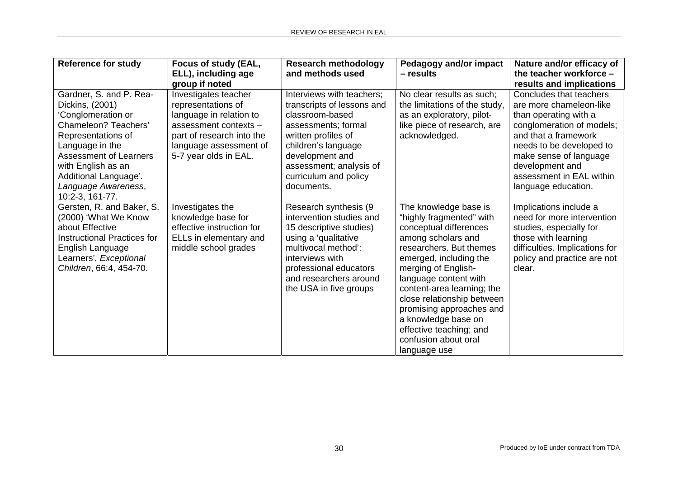| <b>Reference for study</b>                                                                                                                                                                                                                                         | Focus of study (EAL,<br>ELL), including age                                                                                                                                    | <b>Research methodology</b><br>and methods used                                                                                                                                                                                      | Pedagogy and/or impact<br>- results                                                                                                                                                                                                                                                                                                                                                      | Nature and/or efficacy of<br>the teacher workforce -                                                                                                                                                                                                         |
|--------------------------------------------------------------------------------------------------------------------------------------------------------------------------------------------------------------------------------------------------------------------|--------------------------------------------------------------------------------------------------------------------------------------------------------------------------------|--------------------------------------------------------------------------------------------------------------------------------------------------------------------------------------------------------------------------------------|------------------------------------------------------------------------------------------------------------------------------------------------------------------------------------------------------------------------------------------------------------------------------------------------------------------------------------------------------------------------------------------|--------------------------------------------------------------------------------------------------------------------------------------------------------------------------------------------------------------------------------------------------------------|
|                                                                                                                                                                                                                                                                    | group if noted                                                                                                                                                                 |                                                                                                                                                                                                                                      |                                                                                                                                                                                                                                                                                                                                                                                          | results and implications                                                                                                                                                                                                                                     |
| Gardner, S. and P. Rea-<br>Dickins, (2001)<br>'Conglomeration or<br><b>Chameleon? Teachers'</b><br>Representations of<br>Language in the<br><b>Assessment of Learners</b><br>with English as an<br>Additional Language'.<br>Language Awareness,<br>10:2-3, 161-77. | Investigates teacher<br>representations of<br>language in relation to<br>assessment contexts -<br>part of research into the<br>language assessment of<br>5-7 year olds in EAL. | Interviews with teachers;<br>transcripts of lessons and<br>classroom-based<br>assessments; formal<br>written profiles of<br>children's language<br>development and<br>assessment; analysis of<br>curriculum and policy<br>documents. | No clear results as such;<br>the limitations of the study,<br>as an exploratory, pilot-<br>like piece of research, are<br>acknowledged.                                                                                                                                                                                                                                                  | Concludes that teachers<br>are more chameleon-like<br>than operating with a<br>conglomeration of models;<br>and that a framework<br>needs to be developed to<br>make sense of language<br>development and<br>assessment in EAL within<br>language education. |
| Gersten, R. and Baker, S.<br>(2000) 'What We Know<br>about Effective<br><b>Instructional Practices for</b><br>English Language<br>Learners'. Exceptional<br>Children, 66:4, 454-70.                                                                                | Investigates the<br>knowledge base for<br>effective instruction for<br>ELLs in elementary and<br>middle school grades                                                          | Research synthesis (9<br>intervention studies and<br>15 descriptive studies)<br>using a 'qualitative<br>multivocal method':<br>interviews with<br>professional educators<br>and researchers around<br>the USA in five groups         | The knowledge base is<br>"highly fragmented" with<br>conceptual differences<br>among scholars and<br>researchers. But themes<br>emerged, including the<br>merging of English-<br>language content with<br>content-area learning; the<br>close relationship between<br>promising approaches and<br>a knowledge base on<br>effective teaching; and<br>confusion about oral<br>language use | Implications include a<br>need for more intervention<br>studies, especially for<br>those with learning<br>difficulties. Implications for<br>policy and practice are not<br>clear.                                                                            |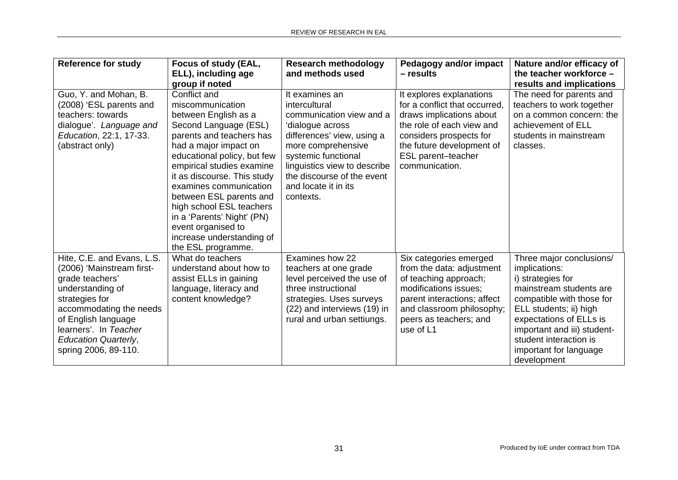| <b>Reference for study</b>                                                                                                                                                                                                                         | Focus of study (EAL,<br>ELL), including age<br>group if noted                                                                                                                                                                                                                                                                                                                                                             | <b>Research methodology</b><br>and methods used                                                                                                                                                                                                               | Pedagogy and/or impact<br>- results                                                                                                                                                                                | Nature and/or efficacy of<br>the teacher workforce -<br>results and implications                                                                                                                                                                                              |
|----------------------------------------------------------------------------------------------------------------------------------------------------------------------------------------------------------------------------------------------------|---------------------------------------------------------------------------------------------------------------------------------------------------------------------------------------------------------------------------------------------------------------------------------------------------------------------------------------------------------------------------------------------------------------------------|---------------------------------------------------------------------------------------------------------------------------------------------------------------------------------------------------------------------------------------------------------------|--------------------------------------------------------------------------------------------------------------------------------------------------------------------------------------------------------------------|-------------------------------------------------------------------------------------------------------------------------------------------------------------------------------------------------------------------------------------------------------------------------------|
| Guo, Y. and Mohan, B.<br>(2008) 'ESL parents and<br>teachers: towards<br>dialogue'. Language and<br>Education, 22:1, 17-33.<br>(abstract only)                                                                                                     | Conflict and<br>miscommunication<br>between English as a<br>Second Language (ESL)<br>parents and teachers has<br>had a major impact on<br>educational policy, but few<br>empirical studies examine<br>it as discourse. This study<br>examines communication<br>between ESL parents and<br>high school ESL teachers<br>in a 'Parents' Night' (PN)<br>event organised to<br>increase understanding of<br>the ESL programme. | It examines an<br>intercultural<br>communication view and a<br>'dialogue across<br>differences' view, using a<br>more comprehensive<br>systemic functional<br>linguistics view to describe<br>the discourse of the event<br>and locate it in its<br>contexts. | It explores explanations<br>for a conflict that occurred.<br>draws implications about<br>the role of each view and<br>considers prospects for<br>the future development of<br>ESL parent-teacher<br>communication. | The need for parents and<br>teachers to work together<br>on a common concern: the<br>achievement of ELL<br>students in mainstream<br>classes.                                                                                                                                 |
| Hite, C.E. and Evans, L.S.<br>(2006) 'Mainstream first-<br>grade teachers'<br>understanding of<br>strategies for<br>accommodating the needs<br>of English language<br>learners'. In Teacher<br><b>Education Quarterly,</b><br>spring 2006, 89-110. | What do teachers<br>understand about how to<br>assist ELLs in gaining<br>language, literacy and<br>content knowledge?                                                                                                                                                                                                                                                                                                     | Examines how 22<br>teachers at one grade<br>level perceived the use of<br>three instructional<br>strategies. Uses surveys<br>(22) and interviews (19) in<br>rural and urban settiungs.                                                                        | Six categories emerged<br>from the data: adjustment<br>of teaching approach;<br>modifications issues;<br>parent interactions; affect<br>and classroom philosophy;<br>peers as teachers; and<br>use of L1           | Three major conclusions/<br>implications:<br>i) strategies for<br>mainstream students are<br>compatible with those for<br>ELL students; ii) high<br>expectations of ELLs is<br>important and iii) student-<br>student interaction is<br>important for language<br>development |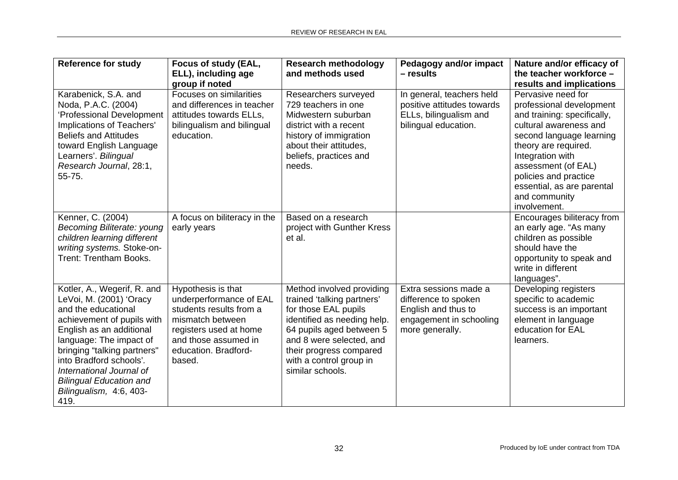| <b>Reference for study</b>                                                                                                                                                                                                                                                                                                    | Focus of study (EAL,<br>ELL), including age<br>group if noted                                                                                                                    | <b>Research methodology</b><br>and methods used                                                                                                                                                                                                  | Pedagogy and/or impact<br>$-$ results                                                                              | Nature and/or efficacy of<br>the teacher workforce -<br>results and implications                                                                                                                                                                                                               |
|-------------------------------------------------------------------------------------------------------------------------------------------------------------------------------------------------------------------------------------------------------------------------------------------------------------------------------|----------------------------------------------------------------------------------------------------------------------------------------------------------------------------------|--------------------------------------------------------------------------------------------------------------------------------------------------------------------------------------------------------------------------------------------------|--------------------------------------------------------------------------------------------------------------------|------------------------------------------------------------------------------------------------------------------------------------------------------------------------------------------------------------------------------------------------------------------------------------------------|
| Karabenick, S.A. and<br>Noda, P.A.C. (2004)<br>'Professional Development<br>Implications of Teachers'<br><b>Beliefs and Attitudes</b><br>toward English Language<br>Learners'. Bilingual<br>Research Journal, 28:1,<br>55-75.                                                                                                 | Focuses on similarities<br>and differences in teacher<br>attitudes towards ELLs,<br>bilingualism and bilingual<br>education.                                                     | Researchers surveyed<br>729 teachers in one<br>Midwestern suburban<br>district with a recent<br>history of immigration<br>about their attitudes,<br>beliefs, practices and<br>needs.                                                             | In general, teachers held<br>positive attitudes towards<br>ELLs, bilingualism and<br>bilingual education.          | Pervasive need for<br>professional development<br>and training: specifically,<br>cultural awareness and<br>second language learning<br>theory are required.<br>Integration with<br>assessment (of EAL)<br>policies and practice<br>essential, as are parental<br>and community<br>involvement. |
| Kenner, C. (2004)<br><b>Becoming Biliterate: young</b><br>children learning different<br>writing systems. Stoke-on-<br><b>Trent: Trentham Books.</b>                                                                                                                                                                          | A focus on biliteracy in the<br>early years                                                                                                                                      | Based on a research<br>project with Gunther Kress<br>et al.                                                                                                                                                                                      |                                                                                                                    | Encourages biliteracy from<br>an early age. "As many<br>children as possible<br>should have the<br>opportunity to speak and<br>write in different<br>languages".                                                                                                                               |
| Kotler, A., Wegerif, R. and<br>LeVoi, M. (2001) 'Oracy<br>and the educational<br>achievement of pupils with<br>English as an additional<br>language: The impact of<br>bringing "talking partners"<br>into Bradford schools'.<br>International Journal of<br><b>Bilingual Education and</b><br>Bilingualism, 4:6, 403-<br>419. | Hypothesis is that<br>underperformance of EAL<br>students results from a<br>mismatch between<br>registers used at home<br>and those assumed in<br>education. Bradford-<br>based. | Method involved providing<br>trained 'talking partners'<br>for those EAL pupils<br>identified as needing help.<br>64 pupils aged between 5<br>and 8 were selected, and<br>their progress compared<br>with a control group in<br>similar schools. | Extra sessions made a<br>difference to spoken<br>English and thus to<br>engagement in schooling<br>more generally. | Developing registers<br>specific to academic<br>success is an important<br>element in language<br>education for EAL<br>learners.                                                                                                                                                               |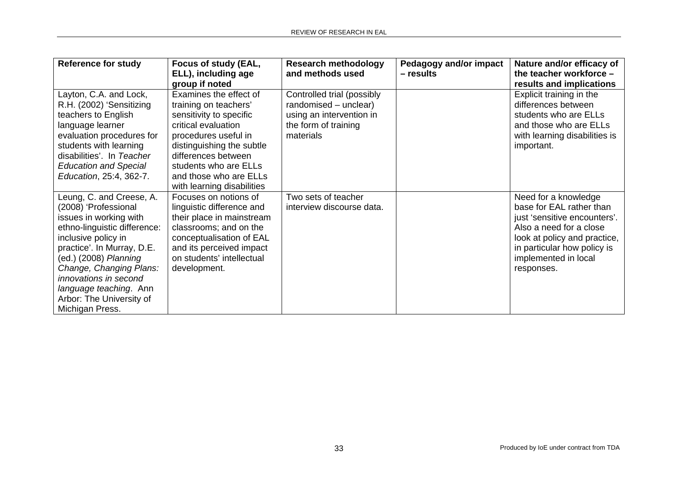| <b>Reference for study</b>   | Focus of study (EAL,       | <b>Research methodology</b> | Pedagogy and/or impact | Nature and/or efficacy of     |
|------------------------------|----------------------------|-----------------------------|------------------------|-------------------------------|
|                              | ELL), including age        | and methods used            | – results              | the teacher workforce $-$     |
|                              | group if noted             |                             |                        | results and implications      |
| Layton, C.A. and Lock,       | Examines the effect of     | Controlled trial (possibly  |                        | Explicit training in the      |
| R.H. (2002) 'Sensitizing     | training on teachers'      | randomised - unclear)       |                        | differences between           |
| teachers to English          | sensitivity to specific    | using an intervention in    |                        | students who are ELLs         |
| language learner             | critical evaluation        | the form of training        |                        | and those who are ELLs        |
| evaluation procedures for    | procedures useful in       | materials                   |                        | with learning disabilities is |
| students with learning       | distinguishing the subtle  |                             |                        | important.                    |
| disabilities'. In Teacher    | differences between        |                             |                        |                               |
| <b>Education and Special</b> | students who are ELLs      |                             |                        |                               |
| Education, 25:4, 362-7.      | and those who are ELLs     |                             |                        |                               |
|                              | with learning disabilities |                             |                        |                               |
| Leung, C. and Creese, A.     | Focuses on notions of      | Two sets of teacher         |                        | Need for a knowledge          |
| (2008) 'Professional         | linguistic difference and  | interview discourse data.   |                        | base for EAL rather than      |
| issues in working with       | their place in mainstream  |                             |                        | just 'sensitive encounters'.  |
| ethno-linguistic difference: | classrooms; and on the     |                             |                        | Also a need for a close       |
| inclusive policy in          | conceptualisation of EAL   |                             |                        | look at policy and practice,  |
| practice'. In Murray, D.E.   | and its perceived impact   |                             |                        | in particular how policy is   |
| (ed.) (2008) Planning        | on students' intellectual  |                             |                        | implemented in local          |
| Change, Changing Plans:      | development.               |                             |                        | responses.                    |
| innovations in second        |                            |                             |                        |                               |
| language teaching. Ann       |                            |                             |                        |                               |
| Arbor: The University of     |                            |                             |                        |                               |
| Michigan Press.              |                            |                             |                        |                               |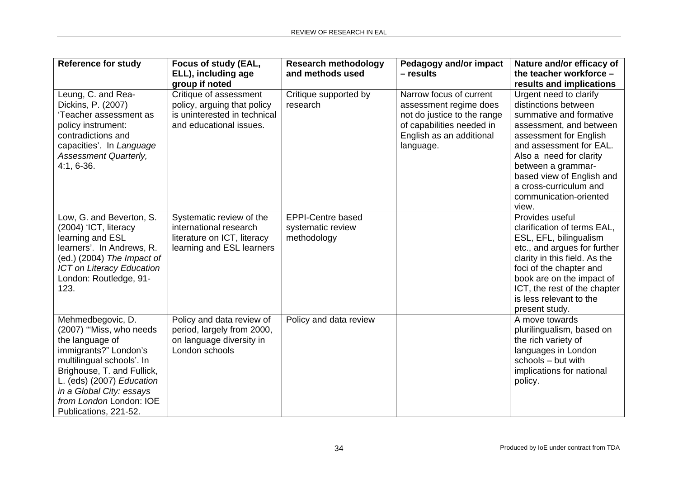| <b>Reference for study</b>                                                                                                                                                                                                                                       | Focus of study (EAL,<br>ELL), including age<br>group if noted                                                    | <b>Research methodology</b><br>and methods used              | Pedagogy and/or impact<br>- results                                                                                                                    | Nature and/or efficacy of<br>the teacher workforce -<br>results and implications                                                                                                                                                                                                                     |
|------------------------------------------------------------------------------------------------------------------------------------------------------------------------------------------------------------------------------------------------------------------|------------------------------------------------------------------------------------------------------------------|--------------------------------------------------------------|--------------------------------------------------------------------------------------------------------------------------------------------------------|------------------------------------------------------------------------------------------------------------------------------------------------------------------------------------------------------------------------------------------------------------------------------------------------------|
| Leung, C. and Rea-<br>Dickins, P. (2007)<br>'Teacher assessment as<br>policy instrument:<br>contradictions and<br>capacities'. In Language<br>Assessment Quarterly,<br>$4:1, 6-36.$                                                                              | Critique of assessment<br>policy, arguing that policy<br>is uninterested in technical<br>and educational issues. | Critique supported by<br>research                            | Narrow focus of current<br>assessment regime does<br>not do justice to the range<br>of capabilities needed in<br>English as an additional<br>language. | Urgent need to clarify<br>distinctions between<br>summative and formative<br>assessment, and between<br>assessment for English<br>and assessment for EAL.<br>Also a need for clarity<br>between a grammar-<br>based view of English and<br>a cross-curriculum and<br>communication-oriented<br>view. |
| Low, G. and Beverton, S.<br>(2004) 'ICT, literacy<br>learning and ESL<br>learners'. In Andrews, R.<br>(ed.) (2004) The Impact of<br><b>ICT on Literacy Education</b><br>London: Routledge, 91-<br>123.                                                           | Systematic review of the<br>international research<br>literature on ICT, literacy<br>learning and ESL learners   | <b>EPPI-Centre based</b><br>systematic review<br>methodology |                                                                                                                                                        | Provides useful<br>clarification of terms EAL,<br>ESL, EFL, bilingualism<br>etc., and argues for further<br>clarity in this field. As the<br>foci of the chapter and<br>book are on the impact of<br>ICT, the rest of the chapter<br>is less relevant to the<br>present study.                       |
| Mehmedbegovic, D.<br>(2007) "Miss, who needs<br>the language of<br>immigrants?" London's<br>multilingual schools'. In<br>Brighouse, T. and Fullick,<br>L. (eds) (2007) Education<br>in a Global City: essays<br>from London London: IOE<br>Publications, 221-52. | Policy and data review of<br>period, largely from 2000,<br>on language diversity in<br>London schools            | Policy and data review                                       |                                                                                                                                                        | A move towards<br>plurilingualism, based on<br>the rich variety of<br>languages in London<br>schools - but with<br>implications for national<br>policy.                                                                                                                                              |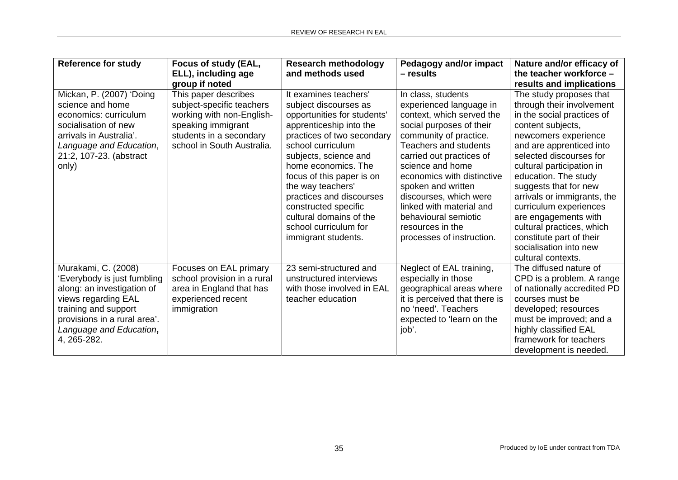| <b>Reference for study</b>                                                                                                                                                                                | Focus of study (EAL,<br>ELL), including age                                                                                                                                     | <b>Research methodology</b><br>and methods used                                                                                                                                                                                                                                                                                                                                              | <b>Pedagogy and/or impact</b><br>- results                                                                                                                                                                                                                                                                                                                                                   | Nature and/or efficacy of<br>the teacher workforce -                                                                                                                                                                                                                                                                                                                                                                                                                                       |
|-----------------------------------------------------------------------------------------------------------------------------------------------------------------------------------------------------------|---------------------------------------------------------------------------------------------------------------------------------------------------------------------------------|----------------------------------------------------------------------------------------------------------------------------------------------------------------------------------------------------------------------------------------------------------------------------------------------------------------------------------------------------------------------------------------------|----------------------------------------------------------------------------------------------------------------------------------------------------------------------------------------------------------------------------------------------------------------------------------------------------------------------------------------------------------------------------------------------|--------------------------------------------------------------------------------------------------------------------------------------------------------------------------------------------------------------------------------------------------------------------------------------------------------------------------------------------------------------------------------------------------------------------------------------------------------------------------------------------|
| Mickan, P. (2007) 'Doing<br>science and home<br>economics: curriculum<br>socialisation of new<br>arrivals in Australia'.<br>Language and Education,<br>21:2, 107-23. (abstract<br>only)                   | group if noted<br>This paper describes<br>subject-specific teachers<br>working with non-English-<br>speaking immigrant<br>students in a secondary<br>school in South Australia. | It examines teachers'<br>subject discourses as<br>opportunities for students'<br>apprenticeship into the<br>practices of two secondary<br>school curriculum<br>subjects, science and<br>home economics. The<br>focus of this paper is on<br>the way teachers'<br>practices and discourses<br>constructed specific<br>cultural domains of the<br>school curriculum for<br>immigrant students. | In class, students<br>experienced language in<br>context, which served the<br>social purposes of their<br>community of practice.<br>Teachers and students<br>carried out practices of<br>science and home<br>economics with distinctive<br>spoken and written<br>discourses, which were<br>linked with material and<br>behavioural semiotic<br>resources in the<br>processes of instruction. | results and implications<br>The study proposes that<br>through their involvement<br>in the social practices of<br>content subjects,<br>newcomers experience<br>and are apprenticed into<br>selected discourses for<br>cultural participation in<br>education. The study<br>suggests that for new<br>arrivals or immigrants, the<br>curriculum experiences<br>are engagements with<br>cultural practices, which<br>constitute part of their<br>socialisation into new<br>cultural contexts. |
| Murakami, C. (2008)<br>'Everybody is just fumbling<br>along: an investigation of<br>views regarding EAL<br>training and support<br>provisions in a rural area'.<br>Language and Education,<br>4, 265-282. | Focuses on EAL primary<br>school provision in a rural<br>area in England that has<br>experienced recent<br>immigration                                                          | 23 semi-structured and<br>unstructured interviews<br>with those involved in EAL<br>teacher education                                                                                                                                                                                                                                                                                         | Neglect of EAL training,<br>especially in those<br>geographical areas where<br>it is perceived that there is<br>no 'need'. Teachers<br>expected to 'learn on the<br>job'.                                                                                                                                                                                                                    | The diffused nature of<br>CPD is a problem. A range<br>of nationally accredited PD<br>courses must be<br>developed; resources<br>must be improved; and a<br>highly classified EAL<br>framework for teachers<br>development is needed.                                                                                                                                                                                                                                                      |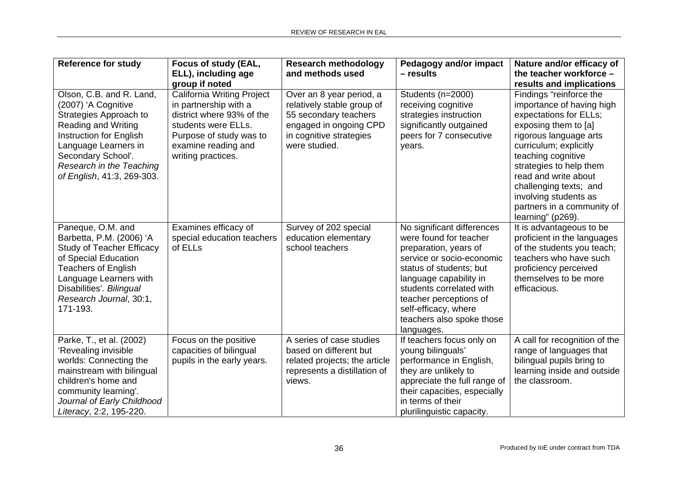| <b>Reference for study</b>                                                                                                                                                                                                                 | Focus of study (EAL,<br>ELL), including age<br>group if noted                                                                                                                          | <b>Research methodology</b><br>and methods used                                                                                                       | Pedagogy and/or impact<br>$-$ results                                                                                                                                                                                                                                                    | Nature and/or efficacy of<br>the teacher workforce -<br>results and implications                                                                                                                                                                                                                                                          |
|--------------------------------------------------------------------------------------------------------------------------------------------------------------------------------------------------------------------------------------------|----------------------------------------------------------------------------------------------------------------------------------------------------------------------------------------|-------------------------------------------------------------------------------------------------------------------------------------------------------|------------------------------------------------------------------------------------------------------------------------------------------------------------------------------------------------------------------------------------------------------------------------------------------|-------------------------------------------------------------------------------------------------------------------------------------------------------------------------------------------------------------------------------------------------------------------------------------------------------------------------------------------|
| Olson, C.B. and R. Land,<br>(2007) 'A Cognitive<br>Strategies Approach to<br><b>Reading and Writing</b><br>Instruction for English<br>Language Learners in<br>Secondary School'.<br>Research in the Teaching<br>of English, 41:3, 269-303. | <b>California Writing Project</b><br>in partnership with a<br>district where 93% of the<br>students were ELLs.<br>Purpose of study was to<br>examine reading and<br>writing practices. | Over an 8 year period, a<br>relatively stable group of<br>55 secondary teachers<br>engaged in ongoing CPD<br>in cognitive strategies<br>were studied. | Students (n=2000)<br>receiving cognitive<br>strategies instruction<br>significantly outgained<br>peers for 7 consecutive<br>years.                                                                                                                                                       | Findings "reinforce the<br>importance of having high<br>expectations for ELLs;<br>exposing them to [a]<br>rigorous language arts<br>curriculum; explicitly<br>teaching cognitive<br>strategies to help them<br>read and write about<br>challenging texts; and<br>involving students as<br>partners in a community of<br>learning" (p269). |
| Paneque, O.M. and<br>Barbetta, P.M. (2006) 'A<br><b>Study of Teacher Efficacy</b><br>of Special Education<br><b>Teachers of English</b><br>Language Learners with<br>Disabilities'. Bilingual<br>Research Journal, 30:1,<br>171-193.       | Examines efficacy of<br>special education teachers<br>of ELLs                                                                                                                          | Survey of 202 special<br>education elementary<br>school teachers                                                                                      | No significant differences<br>were found for teacher<br>preparation, years of<br>service or socio-economic<br>status of students; but<br>language capability in<br>students correlated with<br>teacher perceptions of<br>self-efficacy, where<br>teachers also spoke those<br>languages. | It is advantageous to be<br>proficient in the languages<br>of the students you teach;<br>teachers who have such<br>proficiency perceived<br>themselves to be more<br>efficacious.                                                                                                                                                         |
| Parke, T., et al. (2002)<br>'Revealing invisible<br>worlds: Connecting the<br>mainstream with bilingual<br>children's home and<br>community learning'.<br>Journal of Early Childhood<br>Literacy, 2:2, 195-220.                            | Focus on the positive<br>capacities of bilingual<br>pupils in the early years.                                                                                                         | A series of case studies<br>based on different but<br>related projects; the article<br>represents a distillation of<br>views.                         | If teachers focus only on<br>young bilinguals'<br>performance in English,<br>they are unlikely to<br>appreciate the full range of<br>their capacities, especially<br>in terms of their<br>plurilinguistic capacity.                                                                      | A call for recognition of the<br>range of languages that<br>bilingual pupils bring to<br>learning inside and outside<br>the classroom.                                                                                                                                                                                                    |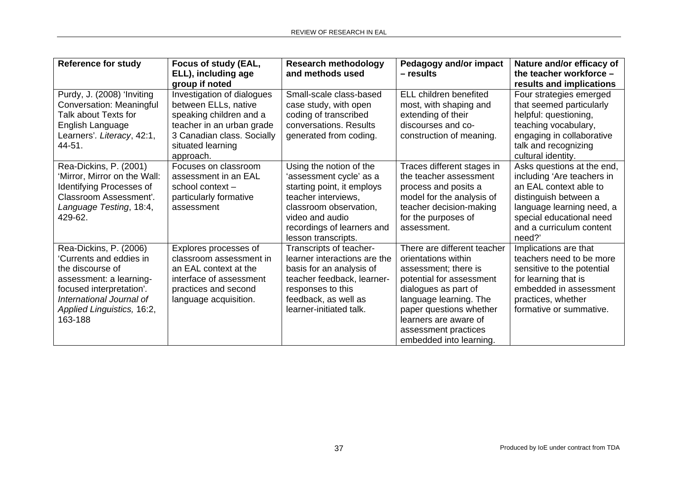| <b>Reference for study</b>                                                                                                                                                                        | Focus of study (EAL,<br>ELL), including age<br>group if noted                                                                                                              | <b>Research methodology</b><br>and methods used                                                                                                                                                           | <b>Pedagogy and/or impact</b><br>- results                                                                                                                                                                                                                      | Nature and/or efficacy of<br>the teacher workforce -<br>results and implications                                                                                                                           |
|---------------------------------------------------------------------------------------------------------------------------------------------------------------------------------------------------|----------------------------------------------------------------------------------------------------------------------------------------------------------------------------|-----------------------------------------------------------------------------------------------------------------------------------------------------------------------------------------------------------|-----------------------------------------------------------------------------------------------------------------------------------------------------------------------------------------------------------------------------------------------------------------|------------------------------------------------------------------------------------------------------------------------------------------------------------------------------------------------------------|
| Purdy, J. (2008) 'Inviting<br>Conversation: Meaningful<br>Talk about Texts for<br>English Language<br>Learners'. Literacy, 42:1,<br>44-51.                                                        | Investigation of dialogues<br>between ELLs, native<br>speaking children and a<br>teacher in an urban grade<br>3 Canadian class. Socially<br>situated learning<br>approach. | Small-scale class-based<br>case study, with open<br>coding of transcribed<br>conversations. Results<br>generated from coding.                                                                             | ELL children benefited<br>most, with shaping and<br>extending of their<br>discourses and co-<br>construction of meaning.                                                                                                                                        | Four strategies emerged<br>that seemed particularly<br>helpful: questioning,<br>teaching vocabulary,<br>engaging in collaborative<br>talk and recognizing<br>cultural identity.                            |
| Rea-Dickins, P. (2001)<br>'Mirror, Mirror on the Wall:<br>Identifying Processes of<br>Classroom Assessment'.<br>Language Testing, 18:4,<br>429-62.                                                | Focuses on classroom<br>assessment in an EAL<br>school context-<br>particularly formative<br>assessment                                                                    | Using the notion of the<br>'assessment cycle' as a<br>starting point, it employs<br>teacher interviews,<br>classroom observation,<br>video and audio<br>recordings of learners and<br>lesson transcripts. | Traces different stages in<br>the teacher assessment<br>process and posits a<br>model for the analysis of<br>teacher decision-making<br>for the purposes of<br>assessment.                                                                                      | Asks questions at the end,<br>including 'Are teachers in<br>an EAL context able to<br>distinguish between a<br>language learning need, a<br>special educational need<br>and a curriculum content<br>need?' |
| Rea-Dickins, P. (2006)<br>'Currents and eddies in<br>the discourse of<br>assessment: a learning-<br>focused interpretation'.<br>International Journal of<br>Applied Linguistics, 16:2,<br>163-188 | Explores processes of<br>classroom assessment in<br>an EAL context at the<br>interface of assessment<br>practices and second<br>language acquisition.                      | Transcripts of teacher-<br>learner interactions are the<br>basis for an analysis of<br>teacher feedback, learner-<br>responses to this<br>feedback, as well as<br>learner-initiated talk.                 | There are different teacher<br>orientations within<br>assessment; there is<br>potential for assessment<br>dialogues as part of<br>language learning. The<br>paper questions whether<br>learners are aware of<br>assessment practices<br>embedded into learning. | Implications are that<br>teachers need to be more<br>sensitive to the potential<br>for learning that is<br>embedded in assessment<br>practices, whether<br>formative or summative.                         |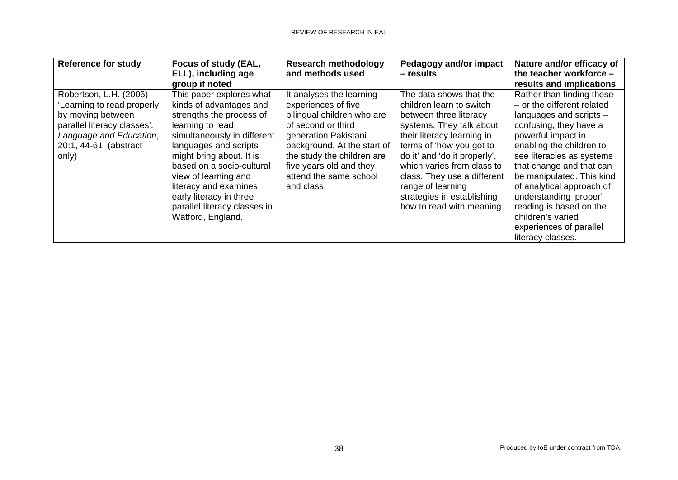| <b>Reference for study</b>                                                                                                                                             | Focus of study (EAL,<br>ELL), including age<br>group if noted                                                                                                                                                                                                                                                                                         | <b>Research methodology</b><br>and methods used                                                                                                                                                                                                             | Pedagogy and/or impact<br>– results                                                                                                                                                                                                                                                                                                              | Nature and/or efficacy of<br>the teacher workforce -<br>results and implications                                                                                                                                                                                                                                                                                                                            |
|------------------------------------------------------------------------------------------------------------------------------------------------------------------------|-------------------------------------------------------------------------------------------------------------------------------------------------------------------------------------------------------------------------------------------------------------------------------------------------------------------------------------------------------|-------------------------------------------------------------------------------------------------------------------------------------------------------------------------------------------------------------------------------------------------------------|--------------------------------------------------------------------------------------------------------------------------------------------------------------------------------------------------------------------------------------------------------------------------------------------------------------------------------------------------|-------------------------------------------------------------------------------------------------------------------------------------------------------------------------------------------------------------------------------------------------------------------------------------------------------------------------------------------------------------------------------------------------------------|
| Robertson, L.H. (2006)<br>'Learning to read properly<br>by moving between<br>parallel literacy classes'.<br>Language and Education,<br>20:1, 44-61. (abstract<br>only) | This paper explores what<br>kinds of advantages and<br>strengths the process of<br>learning to read<br>simultaneously in different<br>languages and scripts<br>might bring about. It is<br>based on a socio-cultural<br>view of learning and<br>literacy and examines<br>early literacy in three<br>parallel literacy classes in<br>Watford, England. | It analyses the learning<br>experiences of five<br>bilingual children who are<br>of second or third<br>generation Pakistani<br>background. At the start of<br>the study the children are<br>five years old and they<br>attend the same school<br>and class. | The data shows that the<br>children learn to switch<br>between three literacy<br>systems. They talk about<br>their literacy learning in<br>terms of 'how you got to<br>do it' and 'do it properly',<br>which varies from class to<br>class. They use a different<br>range of learning<br>strategies in establishing<br>how to read with meaning. | Rather than finding these<br>- or the different related<br>languages and scripts -<br>confusing, they have a<br>powerful impact in<br>enabling the children to<br>see literacies as systems<br>that change and that can<br>be manipulated. This kind<br>of analytical approach of<br>understanding 'proper'<br>reading is based on the<br>children's varied<br>experiences of parallel<br>literacy classes. |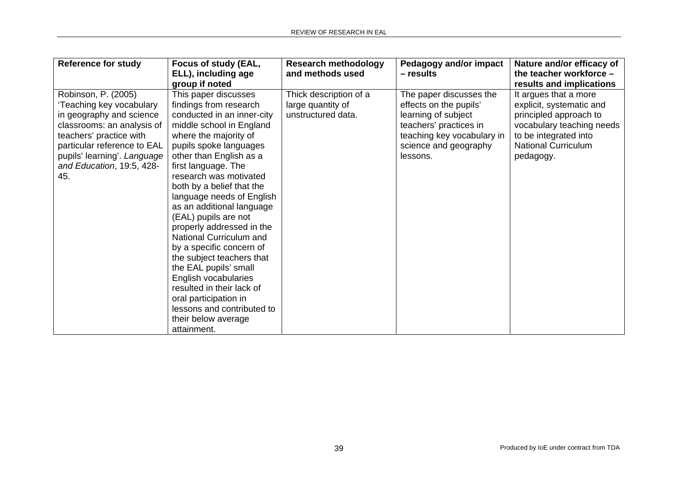| <b>Reference for study</b>                                                                                                                                                                                                             | Focus of study (EAL,<br>ELL), including age<br>group if noted                                                                                                                                                                                                                                                                                                                                                                                                                                                                                                                                                                                      | <b>Research methodology</b><br>and methods used                   | <b>Pedagogy and/or impact</b><br>- results                                                                                                                            | Nature and/or efficacy of<br>the teacher workforce -<br>results and implications                                                                                             |
|----------------------------------------------------------------------------------------------------------------------------------------------------------------------------------------------------------------------------------------|----------------------------------------------------------------------------------------------------------------------------------------------------------------------------------------------------------------------------------------------------------------------------------------------------------------------------------------------------------------------------------------------------------------------------------------------------------------------------------------------------------------------------------------------------------------------------------------------------------------------------------------------------|-------------------------------------------------------------------|-----------------------------------------------------------------------------------------------------------------------------------------------------------------------|------------------------------------------------------------------------------------------------------------------------------------------------------------------------------|
| Robinson, P. (2005)<br>'Teaching key vocabulary<br>in geography and science<br>classrooms: an analysis of<br>teachers' practice with<br>particular reference to EAL<br>pupils' learning'. Language<br>and Education, 19:5, 428-<br>45. | This paper discusses<br>findings from research<br>conducted in an inner-city<br>middle school in England<br>where the majority of<br>pupils spoke languages<br>other than English as a<br>first language. The<br>research was motivated<br>both by a belief that the<br>language needs of English<br>as an additional language<br>(EAL) pupils are not<br>properly addressed in the<br>National Curriculum and<br>by a specific concern of<br>the subject teachers that<br>the EAL pupils' small<br>English vocabularies<br>resulted in their lack of<br>oral participation in<br>lessons and contributed to<br>their below average<br>attainment. | Thick description of a<br>large quantity of<br>unstructured data. | The paper discusses the<br>effects on the pupils'<br>learning of subject<br>teachers' practices in<br>teaching key vocabulary in<br>science and geography<br>lessons. | It argues that a more<br>explicit, systematic and<br>principled approach to<br>vocabulary teaching needs<br>to be integrated into<br><b>National Curriculum</b><br>pedagogy. |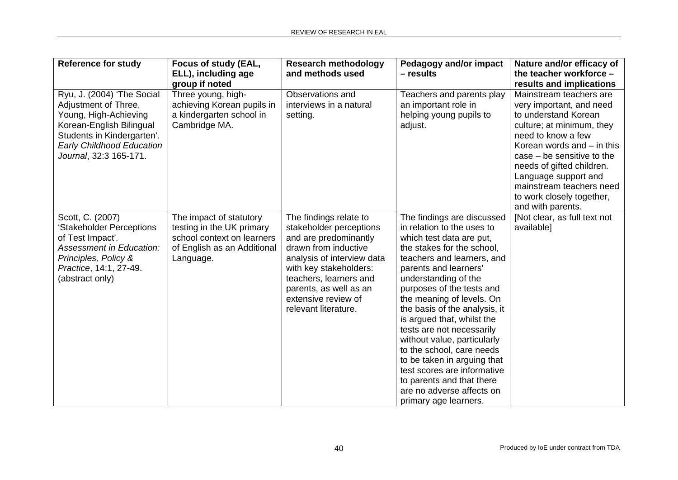| <b>Reference for study</b>                                                                                                                                                                          | Focus of study (EAL,<br>ELL), including age<br>group if noted                                                                  | <b>Research methodology</b><br>and methods used                                                                                                                                                                                                               | <b>Pedagogy and/or impact</b><br>- results                                                                                                                                                                                                                                                                                                                                                                                                                                                                                                                           | Nature and/or efficacy of<br>the teacher workforce -<br>results and implications                                                                                                                                                                                                                                                  |
|-----------------------------------------------------------------------------------------------------------------------------------------------------------------------------------------------------|--------------------------------------------------------------------------------------------------------------------------------|---------------------------------------------------------------------------------------------------------------------------------------------------------------------------------------------------------------------------------------------------------------|----------------------------------------------------------------------------------------------------------------------------------------------------------------------------------------------------------------------------------------------------------------------------------------------------------------------------------------------------------------------------------------------------------------------------------------------------------------------------------------------------------------------------------------------------------------------|-----------------------------------------------------------------------------------------------------------------------------------------------------------------------------------------------------------------------------------------------------------------------------------------------------------------------------------|
| Ryu, J. (2004) 'The Social<br>Adjustment of Three,<br>Young, High-Achieving<br>Korean-English Bilingual<br>Students in Kindergarten'.<br><b>Early Childhood Education</b><br>Journal, 32:3 165-171. | Three young, high-<br>achieving Korean pupils in<br>a kindergarten school in<br>Cambridge MA.                                  | Observations and<br>interviews in a natural<br>setting.                                                                                                                                                                                                       | Teachers and parents play<br>an important role in<br>helping young pupils to<br>adjust.                                                                                                                                                                                                                                                                                                                                                                                                                                                                              | Mainstream teachers are<br>very important, and need<br>to understand Korean<br>culture; at minimum, they<br>need to know a few<br>Korean words and $-$ in this<br>$case - be$ sensitive to the<br>needs of gifted children.<br>Language support and<br>mainstream teachers need<br>to work closely together,<br>and with parents. |
| Scott, C. (2007)<br>'Stakeholder Perceptions<br>of Test Impact'.<br><b>Assessment in Education:</b><br>Principles, Policy &<br>Practice, 14:1, 27-49.<br>(abstract only)                            | The impact of statutory<br>testing in the UK primary<br>school context on learners<br>of English as an Additional<br>Language. | The findings relate to<br>stakeholder perceptions<br>and are predominantly<br>drawn from inductive<br>analysis of interview data<br>with key stakeholders:<br>teachers, learners and<br>parents, as well as an<br>extensive review of<br>relevant literature. | The findings are discussed<br>in relation to the uses to<br>which test data are put,<br>the stakes for the school,<br>teachers and learners, and<br>parents and learners'<br>understanding of the<br>purposes of the tests and<br>the meaning of levels. On<br>the basis of the analysis, it<br>is argued that, whilst the<br>tests are not necessarily<br>without value, particularly<br>to the school, care needs<br>to be taken in arguing that<br>test scores are informative<br>to parents and that there<br>are no adverse affects on<br>primary age learners. | [Not clear, as full text not<br>available]                                                                                                                                                                                                                                                                                        |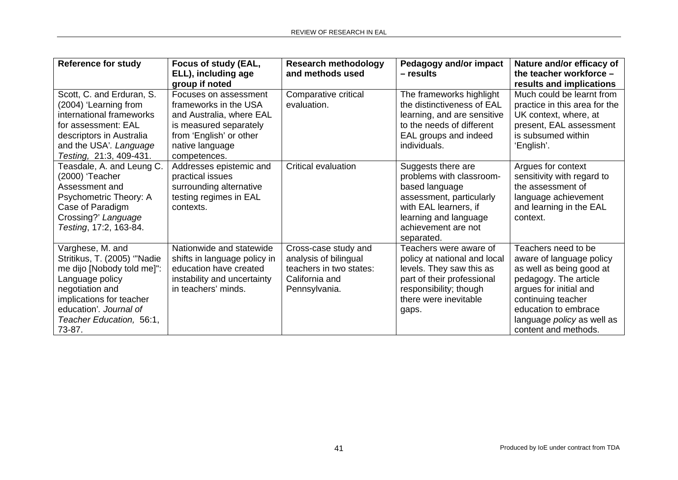| <b>Reference for study</b>                                                                                                                                                                                      | Focus of study (EAL,<br>ELL), including age<br>group if noted                                                                                                      | <b>Research methodology</b><br>and methods used                                                             | <b>Pedagogy and/or impact</b><br>- results                                                                                                                                          | Nature and/or efficacy of<br>the teacher workforce -<br>results and implications                                                                                                                                                          |
|-----------------------------------------------------------------------------------------------------------------------------------------------------------------------------------------------------------------|--------------------------------------------------------------------------------------------------------------------------------------------------------------------|-------------------------------------------------------------------------------------------------------------|-------------------------------------------------------------------------------------------------------------------------------------------------------------------------------------|-------------------------------------------------------------------------------------------------------------------------------------------------------------------------------------------------------------------------------------------|
| Scott, C. and Erduran, S.<br>(2004) 'Learning from<br>international frameworks<br>for assessment: EAL<br>descriptors in Australia<br>and the USA'. Language<br>Testing, 21:3, 409-431.                          | Focuses on assessment<br>frameworks in the USA<br>and Australia, where EAL<br>is measured separately<br>from 'English' or other<br>native language<br>competences. | Comparative critical<br>evaluation.                                                                         | The frameworks highlight<br>the distinctiveness of EAL<br>learning, and are sensitive<br>to the needs of different<br>EAL groups and indeed<br>individuals.                         | Much could be learnt from<br>practice in this area for the<br>UK context, where, at<br>present, EAL assessment<br>is subsumed within<br>'English'.                                                                                        |
| Teasdale, A. and Leung C.<br>(2000) 'Teacher<br>Assessment and<br>Psychometric Theory: A<br>Case of Paradigm<br>Crossing?' Language<br>Testing, 17:2, 163-84.                                                   | Addresses epistemic and<br>practical issues<br>surrounding alternative<br>testing regimes in EAL<br>contexts.                                                      | Critical evaluation                                                                                         | Suggests there are<br>problems with classroom-<br>based language<br>assessment, particularly<br>with EAL learners, if<br>learning and language<br>achievement are not<br>separated. | Argues for context<br>sensitivity with regard to<br>the assessment of<br>language achievement<br>and learning in the EAL<br>context.                                                                                                      |
| Varghese, M. and<br>Stritikus, T. (2005) "Nadie<br>me dijo [Nobody told me]":<br>Language policy<br>negotiation and<br>implications for teacher<br>education'. Journal of<br>Teacher Education, 56:1,<br>73-87. | Nationwide and statewide<br>shifts in language policy in<br>education have created<br>instability and uncertainty<br>in teachers' minds.                           | Cross-case study and<br>analysis of bilingual<br>teachers in two states:<br>California and<br>Pennsylvania. | Teachers were aware of<br>policy at national and local<br>levels. They saw this as<br>part of their professional<br>responsibility; though<br>there were inevitable<br>gaps.        | Teachers need to be<br>aware of language policy<br>as well as being good at<br>pedagogy. The article<br>argues for initial and<br>continuing teacher<br>education to embrace<br>language <i>policy</i> as well as<br>content and methods. |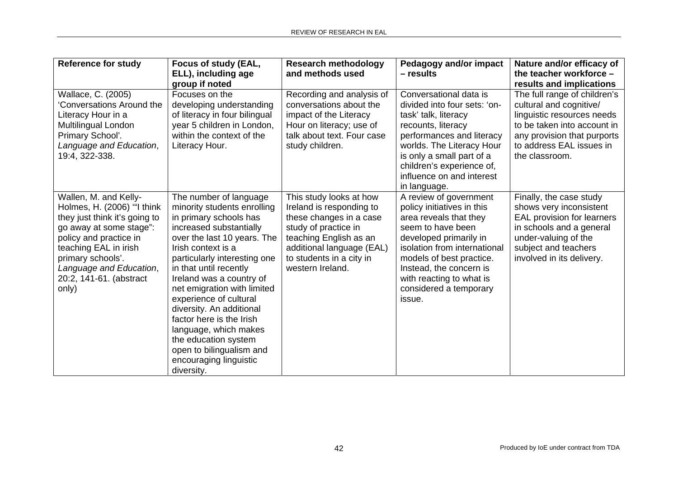| <b>Reference for study</b>                                                                                                                                                                                                                             | Focus of study (EAL,<br>ELL), including age<br>group if noted                                                                                                                                                                                                                                                                                                                                                                                                                               | <b>Research methodology</b><br>and methods used                                                                                                                                                               | Pedagogy and/or impact<br>- results                                                                                                                                                                                                                                                  | Nature and/or efficacy of<br>the teacher workforce -<br>results and implications                                                                                                                  |
|--------------------------------------------------------------------------------------------------------------------------------------------------------------------------------------------------------------------------------------------------------|---------------------------------------------------------------------------------------------------------------------------------------------------------------------------------------------------------------------------------------------------------------------------------------------------------------------------------------------------------------------------------------------------------------------------------------------------------------------------------------------|---------------------------------------------------------------------------------------------------------------------------------------------------------------------------------------------------------------|--------------------------------------------------------------------------------------------------------------------------------------------------------------------------------------------------------------------------------------------------------------------------------------|---------------------------------------------------------------------------------------------------------------------------------------------------------------------------------------------------|
| Wallace, C. (2005)<br>'Conversations Around the<br>Literacy Hour in a<br>Multilingual London<br>Primary School'.<br>Language and Education,<br>19:4, 322-338.                                                                                          | Focuses on the<br>developing understanding<br>of literacy in four bilingual<br>year 5 children in London,<br>within the context of the<br>Literacy Hour.                                                                                                                                                                                                                                                                                                                                    | Recording and analysis of<br>conversations about the<br>impact of the Literacy<br>Hour on literacy; use of<br>talk about text. Four case<br>study children.                                                   | Conversational data is<br>divided into four sets: 'on-<br>task' talk, literacy<br>recounts, literacy<br>performances and literacy<br>worlds. The Literacy Hour<br>is only a small part of a<br>children's experience of,<br>influence on and interest<br>in language.                | The full range of children's<br>cultural and cognitive/<br>linguistic resources needs<br>to be taken into account in<br>any provision that purports<br>to address EAL issues in<br>the classroom. |
| Wallen, M. and Kelly-<br>Holmes, H. (2006) "I think<br>they just think it's going to<br>go away at some stage":<br>policy and practice in<br>teaching EAL in irish<br>primary schools'.<br>Language and Education,<br>20:2, 141-61. (abstract<br>only) | The number of language<br>minority students enrolling<br>in primary schools has<br>increased substantially<br>over the last 10 years. The<br>Irish context is a<br>particularly interesting one<br>in that until recently<br>Ireland was a country of<br>net emigration with limited<br>experience of cultural<br>diversity. An additional<br>factor here is the Irish<br>language, which makes<br>the education system<br>open to bilingualism and<br>encouraging linguistic<br>diversity. | This study looks at how<br>Ireland is responding to<br>these changes in a case<br>study of practice in<br>teaching English as an<br>additional language (EAL)<br>to students in a city in<br>western Ireland. | A review of government<br>policy initiatives in this<br>area reveals that they<br>seem to have been<br>developed primarily in<br>isolation from international<br>models of best practice.<br>Instead, the concern is<br>with reacting to what is<br>considered a temporary<br>issue. | Finally, the case study<br>shows very inconsistent<br>EAL provision for learners<br>in schools and a general<br>under-valuing of the<br>subject and teachers<br>involved in its delivery.         |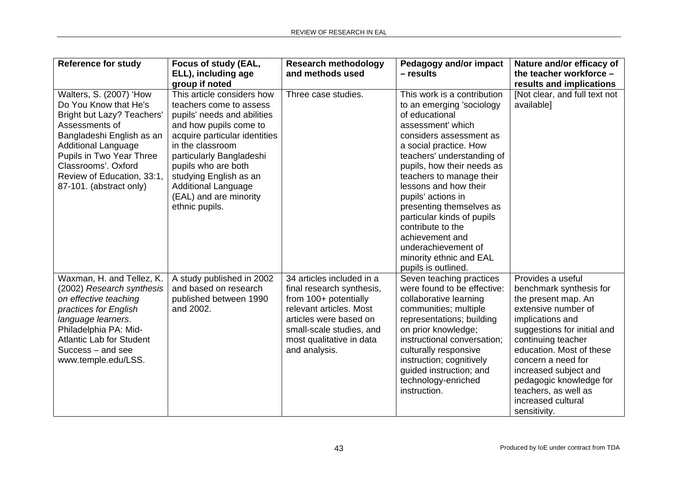| <b>Reference for study</b>                                                                                                                                                                                                                                                     | Focus of study (EAL,<br>ELL), including age<br>group if noted                                                                                                                                                                                                                                                              | <b>Research methodology</b><br>and methods used                                                                                                                                                               | Pedagogy and/or impact<br>$-$ results                                                                                                                                                                                                                                                                                                                                                                                                                                  | Nature and/or efficacy of<br>the teacher workforce -<br>results and implications                                                                                                                                                                                                                                                        |
|--------------------------------------------------------------------------------------------------------------------------------------------------------------------------------------------------------------------------------------------------------------------------------|----------------------------------------------------------------------------------------------------------------------------------------------------------------------------------------------------------------------------------------------------------------------------------------------------------------------------|---------------------------------------------------------------------------------------------------------------------------------------------------------------------------------------------------------------|------------------------------------------------------------------------------------------------------------------------------------------------------------------------------------------------------------------------------------------------------------------------------------------------------------------------------------------------------------------------------------------------------------------------------------------------------------------------|-----------------------------------------------------------------------------------------------------------------------------------------------------------------------------------------------------------------------------------------------------------------------------------------------------------------------------------------|
| Walters, S. (2007) 'How<br>Do You Know that He's<br><b>Bright but Lazy? Teachers'</b><br>Assessments of<br>Bangladeshi English as an<br><b>Additional Language</b><br>Pupils in Two Year Three<br>Classrooms'. Oxford<br>Review of Education, 33:1,<br>87-101. (abstract only) | This article considers how<br>teachers come to assess<br>pupils' needs and abilities<br>and how pupils come to<br>acquire particular identities<br>in the classroom<br>particularly Bangladeshi<br>pupils who are both<br>studying English as an<br><b>Additional Language</b><br>(EAL) and are minority<br>ethnic pupils. | Three case studies.                                                                                                                                                                                           | This work is a contribution<br>to an emerging 'sociology<br>of educational<br>assessment' which<br>considers assessment as<br>a social practice. How<br>teachers' understanding of<br>pupils, how their needs as<br>teachers to manage their<br>lessons and how their<br>pupils' actions in<br>presenting themselves as<br>particular kinds of pupils<br>contribute to the<br>achievement and<br>underachievement of<br>minority ethnic and EAL<br>pupils is outlined. | [Not clear, and full text not<br>available]                                                                                                                                                                                                                                                                                             |
| Waxman, H. and Tellez, K.<br>(2002) Research synthesis<br>on effective teaching<br>practices for English<br>language learners.<br>Philadelphia PA: Mid-<br><b>Atlantic Lab for Student</b><br>Success – and see<br>www.temple.edu/LSS.                                         | A study published in 2002<br>and based on research<br>published between 1990<br>and 2002.                                                                                                                                                                                                                                  | 34 articles included in a<br>final research synthesis,<br>from 100+ potentially<br>relevant articles. Most<br>articles were based on<br>small-scale studies, and<br>most qualitative in data<br>and analysis. | Seven teaching practices<br>were found to be effective:<br>collaborative learning<br>communities; multiple<br>representations; building<br>on prior knowledge;<br>instructional conversation;<br>culturally responsive<br>instruction; cognitively<br>guided instruction; and<br>technology-enriched<br>instruction.                                                                                                                                                   | Provides a useful<br>benchmark synthesis for<br>the present map. An<br>extensive number of<br>implications and<br>suggestions for initial and<br>continuing teacher<br>education. Most of these<br>concern a need for<br>increased subject and<br>pedagogic knowledge for<br>teachers, as well as<br>increased cultural<br>sensitivity. |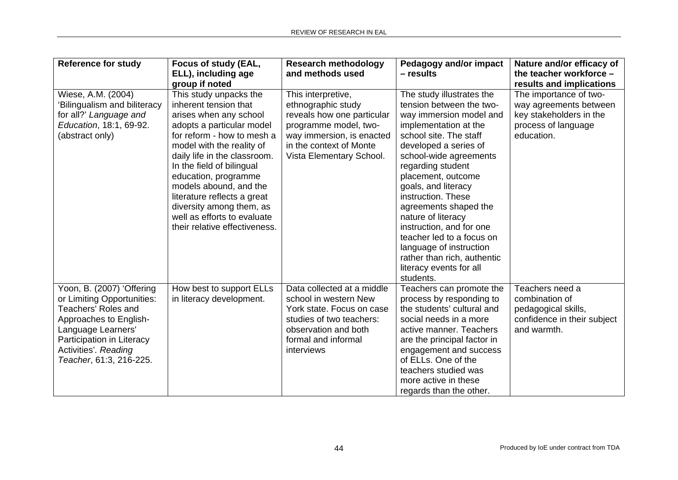| <b>Reference for study</b>   | Focus of study (EAL,                                      | <b>Research methodology</b>                          | Pedagogy and/or impact                          | Nature and/or efficacy of         |
|------------------------------|-----------------------------------------------------------|------------------------------------------------------|-------------------------------------------------|-----------------------------------|
|                              | ELL), including age                                       | and methods used                                     | $-$ results                                     | the teacher workforce -           |
|                              | group if noted                                            |                                                      |                                                 | results and implications          |
| Wiese, A.M. (2004)           | This study unpacks the                                    | This interpretive,                                   | The study illustrates the                       | The importance of two-            |
| 'Bilingualism and biliteracy | inherent tension that                                     | ethnographic study                                   | tension between the two-                        | way agreements between            |
| for all?' Language and       | arises when any school                                    | reveals how one particular                           | way immersion model and                         | key stakeholders in the           |
| Education, 18:1, 69-92.      | adopts a particular model<br>for reform - how to mesh a   | programme model, two-                                | implementation at the<br>school site. The staff | process of language<br>education. |
| (abstract only)              |                                                           | way immersion, is enacted<br>in the context of Monte |                                                 |                                   |
|                              | model with the reality of<br>daily life in the classroom. | Vista Elementary School.                             | developed a series of<br>school-wide agreements |                                   |
|                              | In the field of bilingual                                 |                                                      | regarding student                               |                                   |
|                              | education, programme                                      |                                                      | placement, outcome                              |                                   |
|                              | models abound, and the                                    |                                                      | goals, and literacy                             |                                   |
|                              | literature reflects a great                               |                                                      | instruction. These                              |                                   |
|                              | diversity among them, as                                  |                                                      | agreements shaped the                           |                                   |
|                              | well as efforts to evaluate                               |                                                      | nature of literacy                              |                                   |
|                              | their relative effectiveness.                             |                                                      | instruction, and for one                        |                                   |
|                              |                                                           |                                                      | teacher led to a focus on                       |                                   |
|                              |                                                           |                                                      | language of instruction                         |                                   |
|                              |                                                           |                                                      | rather than rich, authentic                     |                                   |
|                              |                                                           |                                                      | literacy events for all                         |                                   |
|                              |                                                           |                                                      | students.                                       |                                   |
| Yoon, B. (2007) 'Offering    | How best to support ELLs                                  | Data collected at a middle                           | Teachers can promote the                        | Teachers need a                   |
| or Limiting Opportunities:   | in literacy development.                                  | school in western New                                | process by responding to                        | combination of                    |
| Teachers' Roles and          |                                                           | York state. Focus on case                            | the students' cultural and                      | pedagogical skills,               |
| Approaches to English-       |                                                           | studies of two teachers:                             | social needs in a more                          | confidence in their subject       |
| Language Learners'           |                                                           | observation and both                                 | active manner. Teachers                         | and warmth.                       |
| Participation in Literacy    |                                                           | formal and informal                                  | are the principal factor in                     |                                   |
| Activities'. Reading         |                                                           | interviews                                           | engagement and success                          |                                   |
| Teacher, 61:3, 216-225.      |                                                           |                                                      | of ELLs. One of the                             |                                   |
|                              |                                                           |                                                      | teachers studied was                            |                                   |
|                              |                                                           |                                                      | more active in these                            |                                   |
|                              |                                                           |                                                      | regards than the other.                         |                                   |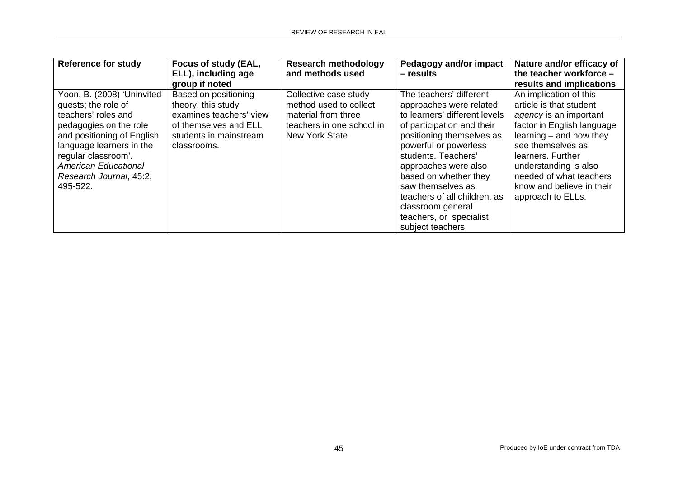| <b>Reference for study</b>                                                                                                                                                                                                                                | Focus of study (EAL,<br>ELL), including age<br>group if noted                                                                           | <b>Research methodology</b><br>and methods used                                                                              | Pedagogy and/or impact<br>- results                                                                                                                                                                                                                                                                                                                                       | Nature and/or efficacy of<br>the teacher workforce -<br>results and implications                                                                                                                                                                                                       |
|-----------------------------------------------------------------------------------------------------------------------------------------------------------------------------------------------------------------------------------------------------------|-----------------------------------------------------------------------------------------------------------------------------------------|------------------------------------------------------------------------------------------------------------------------------|---------------------------------------------------------------------------------------------------------------------------------------------------------------------------------------------------------------------------------------------------------------------------------------------------------------------------------------------------------------------------|----------------------------------------------------------------------------------------------------------------------------------------------------------------------------------------------------------------------------------------------------------------------------------------|
| Yoon, B. (2008) 'Uninvited<br>guests; the role of<br>teachers' roles and<br>pedagogies on the role<br>and positioning of English<br>language learners in the<br>regular classroom'.<br><b>American Educational</b><br>Research Journal, 45:2,<br>495-522. | Based on positioning<br>theory, this study<br>examines teachers' view<br>of themselves and ELL<br>students in mainstream<br>classrooms. | Collective case study<br>method used to collect<br>material from three<br>teachers in one school in<br><b>New York State</b> | The teachers' different<br>approaches were related<br>to learners' different levels<br>of participation and their<br>positioning themselves as<br>powerful or powerless<br>students. Teachers'<br>approaches were also<br>based on whether they<br>saw themselves as<br>teachers of all children, as<br>classroom general<br>teachers, or specialist<br>subject teachers. | An implication of this<br>article is that student<br>agency is an important<br>factor in English language<br>$learning - and how they$<br>see themselves as<br>learners. Further<br>understanding is also<br>needed of what teachers<br>know and believe in their<br>approach to ELLs. |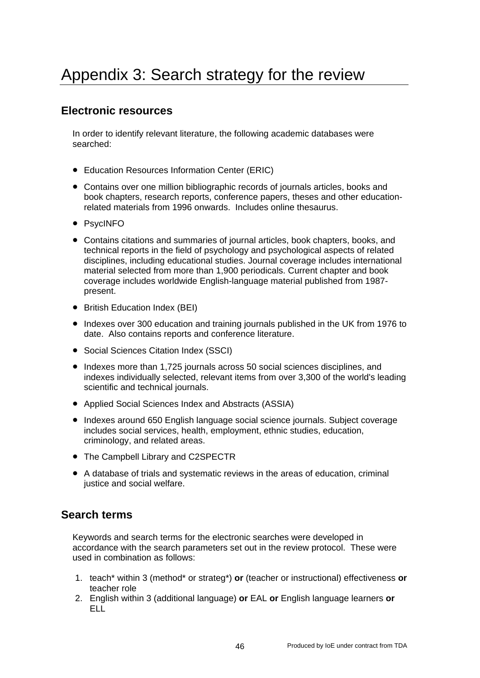### **Electronic resources**

In order to identify relevant literature, the following academic databases were searched:

- Education Resources Information Center (ERIC)
- Contains over one million bibliographic records of journals articles, books and book chapters, research reports, conference papers, theses and other educationrelated materials from 1996 onwards. Includes online thesaurus.
- PsycINFO
- Contains citations and summaries of journal articles, book chapters, books, and technical reports in the field of psychology and psychological aspects of related disciplines, including educational studies. Journal coverage includes international material selected from more than 1,900 periodicals. Current chapter and book coverage includes worldwide English-language material published from 1987 present.
- British Education Index (BEI)
- Indexes over 300 education and training journals published in the UK from 1976 to date. Also contains reports and conference literature.
- Social Sciences Citation Index (SSCI)
- Indexes more than 1,725 journals across 50 social sciences disciplines, and indexes individually selected, relevant items from over 3,300 of the world's leading scientific and technical journals.
- Applied Social Sciences Index and Abstracts (ASSIA)
- Indexes around 650 English language social science journals. Subject coverage includes social services, health, employment, ethnic studies, education, criminology, and related areas.
- The Campbell Library and C2SPECTR
- A database of trials and systematic reviews in the areas of education, criminal justice and social welfare.

### **Search terms**

Keywords and search terms for the electronic searches were developed in accordance with the search parameters set out in the review protocol. These were used in combination as follows:

- 1. teach\* within 3 (method\* or strateg\*) **or** (teacher or instructional) effectiveness **or**  teacher role
- 2. English within 3 (additional language) **or** EAL **or** English language learners **or ELL**